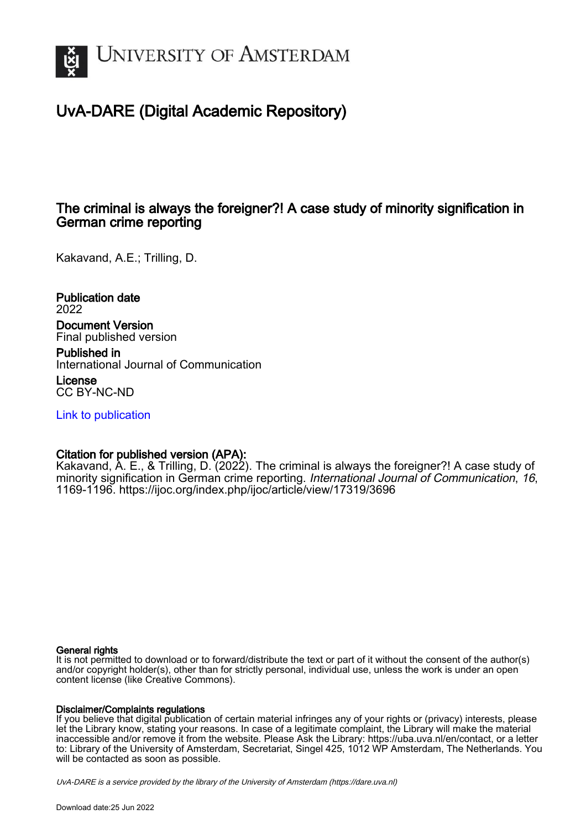

# UvA-DARE (Digital Academic Repository)

# The criminal is always the foreigner?! A case study of minority signification in German crime reporting

Kakavand, A.E.; Trilling, D.

Publication date 2022 Document Version Final published version

Published in International Journal of Communication

License CC BY-NC-ND

[Link to publication](https://dare.uva.nl/personal/pure/en/publications/the-criminal-is-always-the-foreigner-a-case-study-of-minority-signification-in-german-crime-reporting(b0686cc2-e1bb-4f4a-9a26-5fac08daa01d).html)

# Citation for published version (APA):

Kakavand, A. E., & Trilling, D. (2022). The criminal is always the foreigner?! A case study of minority signification in German crime reporting. International Journal of Communication, 16, 1169-1196.<https://ijoc.org/index.php/ijoc/article/view/17319/3696>

## General rights

It is not permitted to download or to forward/distribute the text or part of it without the consent of the author(s) and/or copyright holder(s), other than for strictly personal, individual use, unless the work is under an open content license (like Creative Commons).

# Disclaimer/Complaints regulations

If you believe that digital publication of certain material infringes any of your rights or (privacy) interests, please let the Library know, stating your reasons. In case of a legitimate complaint, the Library will make the material inaccessible and/or remove it from the website. Please Ask the Library: https://uba.uva.nl/en/contact, or a letter to: Library of the University of Amsterdam, Secretariat, Singel 425, 1012 WP Amsterdam, The Netherlands. You will be contacted as soon as possible.

UvA-DARE is a service provided by the library of the University of Amsterdam (http*s*://dare.uva.nl)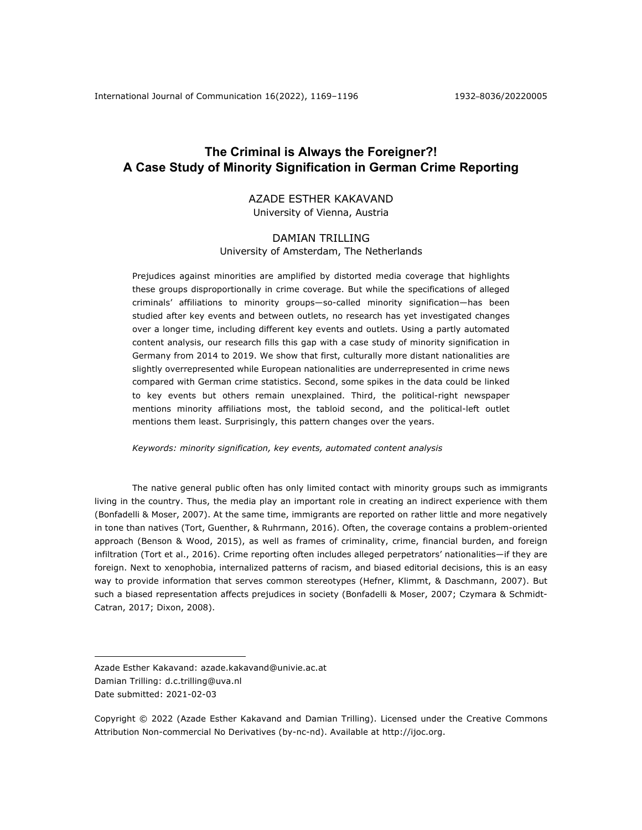# **The Criminal is Always the Foreigner?! A Case Study of Minority Signification in German Crime Reporting**

### AZADE ESTHER KAKAVAND University of Vienna, Austria

## DAMIAN TRILLING University of Amsterdam, The Netherlands

Prejudices against minorities are amplified by distorted media coverage that highlights these groups disproportionally in crime coverage. But while the specifications of alleged criminals' affiliations to minority groups—so-called minority signification—has been studied after key events and between outlets, no research has yet investigated changes over a longer time, including different key events and outlets. Using a partly automated content analysis, our research fills this gap with a case study of minority signification in Germany from 2014 to 2019. We show that first, culturally more distant nationalities are slightly overrepresented while European nationalities are underrepresented in crime news compared with German crime statistics. Second, some spikes in the data could be linked to key events but others remain unexplained. Third, the political-right newspaper mentions minority affiliations most, the tabloid second, and the political-left outlet mentions them least. Surprisingly, this pattern changes over the years.

*Keywords: minority signification, key events, automated content analysis*

The native general public often has only limited contact with minority groups such as immigrants living in the country. Thus, the media play an important role in creating an indirect experience with them (Bonfadelli & Moser, 2007). At the same time, immigrants are reported on rather little and more negatively in tone than natives (Tort, Guenther, & Ruhrmann, 2016). Often, the coverage contains a problem-oriented approach (Benson & Wood, 2015), as well as frames of criminality, crime, financial burden, and foreign infiltration (Tort et al., 2016). Crime reporting often includes alleged perpetrators' nationalities—if they are foreign. Next to xenophobia, internalized patterns of racism, and biased editorial decisions, this is an easy way to provide information that serves common stereotypes (Hefner, Klimmt, & Daschmann, 2007). But such a biased representation affects prejudices in society (Bonfadelli & Moser, 2007; Czymara & Schmidt-Catran, 2017; Dixon, 2008).

Copyright © 2022 (Azade Esther Kakavand and Damian Trilling). Licensed under the Creative Commons Attribution Non-commercial No Derivatives (by-nc-nd). Available at http://ijoc.org.

Azade Esther Kakavand: azade.kakavand@univie.ac.at Damian Trilling: d.c.trilling@uva.nl Date submitted: 2021-02-03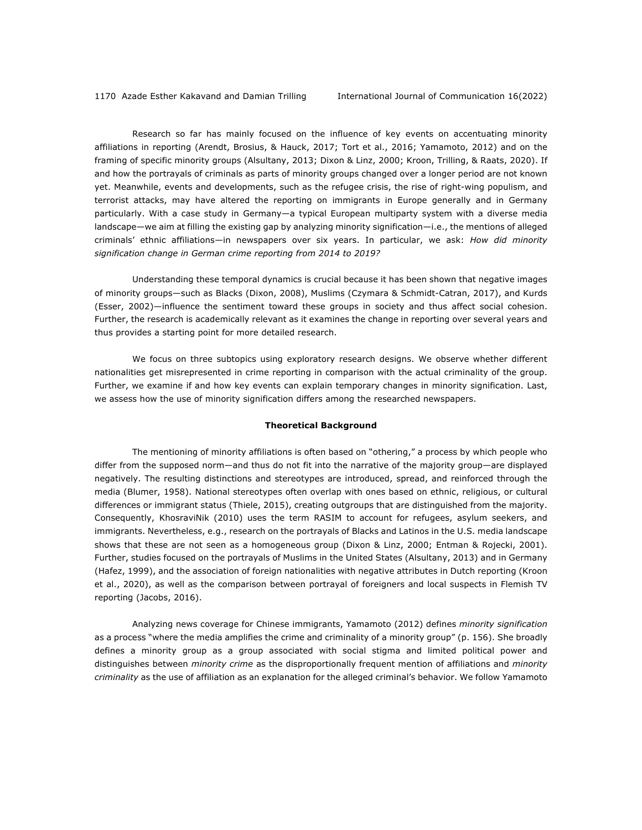Research so far has mainly focused on the influence of key events on accentuating minority affiliations in reporting (Arendt, Brosius, & Hauck, 2017; Tort et al., 2016; Yamamoto, 2012) and on the framing of specific minority groups (Alsultany, 2013; Dixon & Linz, 2000; Kroon, Trilling, & Raats, 2020). If and how the portrayals of criminals as parts of minority groups changed over a longer period are not known yet. Meanwhile, events and developments, such as the refugee crisis, the rise of right-wing populism, and terrorist attacks, may have altered the reporting on immigrants in Europe generally and in Germany particularly. With a case study in Germany—a typical European multiparty system with a diverse media landscape—we aim at filling the existing gap by analyzing minority signification—i.e., the mentions of alleged criminals' ethnic affiliations—in newspapers over six years. In particular, we ask: *How did minority signification change in German crime reporting from 2014 to 2019?*

Understanding these temporal dynamics is crucial because it has been shown that negative images of minority groups—such as Blacks (Dixon, 2008), Muslims (Czymara & Schmidt-Catran, 2017), and Kurds (Esser, 2002)—influence the sentiment toward these groups in society and thus affect social cohesion. Further, the research is academically relevant as it examines the change in reporting over several years and thus provides a starting point for more detailed research.

We focus on three subtopics using exploratory research designs. We observe whether different nationalities get misrepresented in crime reporting in comparison with the actual criminality of the group. Further, we examine if and how key events can explain temporary changes in minority signification. Last, we assess how the use of minority signification differs among the researched newspapers.

#### **Theoretical Background**

The mentioning of minority affiliations is often based on "othering," a process by which people who differ from the supposed norm—and thus do not fit into the narrative of the majority group—are displayed negatively. The resulting distinctions and stereotypes are introduced, spread, and reinforced through the media (Blumer, 1958). National stereotypes often overlap with ones based on ethnic, religious, or cultural differences or immigrant status (Thiele, 2015), creating outgroups that are distinguished from the majority. Consequently, KhosraviNik (2010) uses the term RASIM to account for refugees, asylum seekers, and immigrants. Nevertheless, e.g., research on the portrayals of Blacks and Latinos in the U.S. media landscape shows that these are not seen as a homogeneous group (Dixon & Linz, 2000; Entman & Rojecki, 2001). Further, studies focused on the portrayals of Muslims in the United States (Alsultany, 2013) and in Germany (Hafez, 1999), and the association of foreign nationalities with negative attributes in Dutch reporting (Kroon et al., 2020), as well as the comparison between portrayal of foreigners and local suspects in Flemish TV reporting (Jacobs, 2016).

Analyzing news coverage for Chinese immigrants, Yamamoto (2012) defines *minority signification* as a process "where the media amplifies the crime and criminality of a minority group" (p. 156). She broadly defines a minority group as a group associated with social stigma and limited political power and distinguishes between *minority crime* as the disproportionally frequent mention of affiliations and *minority criminality* as the use of affiliation as an explanation for the alleged criminal's behavior. We follow Yamamoto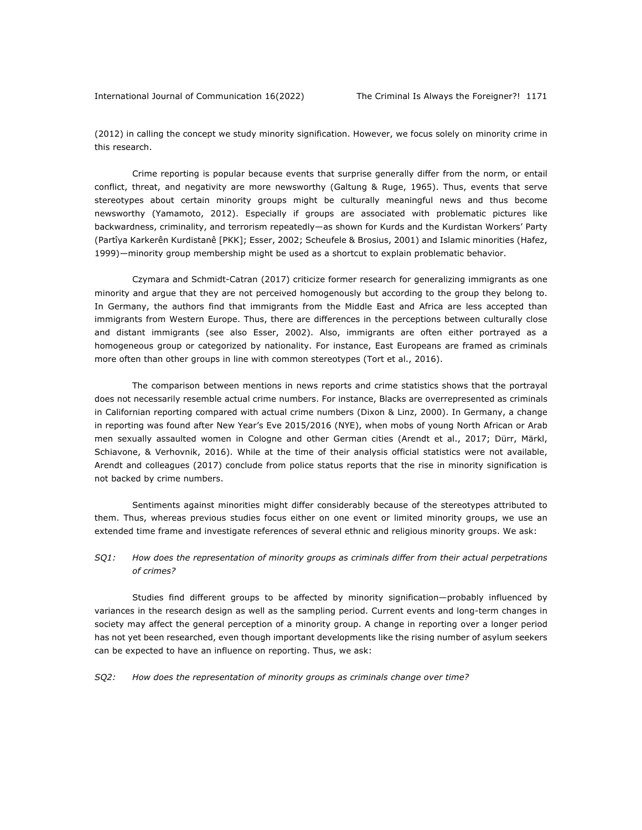(2012) in calling the concept we study minority signification. However, we focus solely on minority crime in this research.

Crime reporting is popular because events that surprise generally differ from the norm, or entail conflict, threat, and negativity are more newsworthy (Galtung & Ruge, 1965). Thus, events that serve stereotypes about certain minority groups might be culturally meaningful news and thus become newsworthy (Yamamoto, 2012). Especially if groups are associated with problematic pictures like backwardness, criminality, and terrorism repeatedly—as shown for Kurds and the Kurdistan Workers' Party (Partîya Karkerên Kurdistanê [PKK]; Esser, 2002; Scheufele & Brosius, 2001) and Islamic minorities (Hafez, 1999)—minority group membership might be used as a shortcut to explain problematic behavior.

Czymara and Schmidt-Catran (2017) criticize former research for generalizing immigrants as one minority and argue that they are not perceived homogenously but according to the group they belong to. In Germany, the authors find that immigrants from the Middle East and Africa are less accepted than immigrants from Western Europe. Thus, there are differences in the perceptions between culturally close and distant immigrants (see also Esser, 2002). Also, immigrants are often either portrayed as a homogeneous group or categorized by nationality. For instance, East Europeans are framed as criminals more often than other groups in line with common stereotypes (Tort et al., 2016).

The comparison between mentions in news reports and crime statistics shows that the portrayal does not necessarily resemble actual crime numbers. For instance, Blacks are overrepresented as criminals in Californian reporting compared with actual crime numbers (Dixon & Linz, 2000). In Germany, a change in reporting was found after New Year's Eve 2015/2016 (NYE), when mobs of young North African or Arab men sexually assaulted women in Cologne and other German cities (Arendt et al., 2017; Dürr, Märkl, Schiavone, & Verhovnik, 2016). While at the time of their analysis official statistics were not available, Arendt and colleagues (2017) conclude from police status reports that the rise in minority signification is not backed by crime numbers.

Sentiments against minorities might differ considerably because of the stereotypes attributed to them. Thus, whereas previous studies focus either on one event or limited minority groups, we use an extended time frame and investigate references of several ethnic and religious minority groups. We ask:

#### *SQ1: How does the representation of minority groups as criminals differ from their actual perpetrations of crimes?*

Studies find different groups to be affected by minority signification—probably influenced by variances in the research design as well as the sampling period. Current events and long-term changes in society may affect the general perception of a minority group. A change in reporting over a longer period has not yet been researched, even though important developments like the rising number of asylum seekers can be expected to have an influence on reporting. Thus, we ask:

*SQ2: How does the representation of minority groups as criminals change over time?*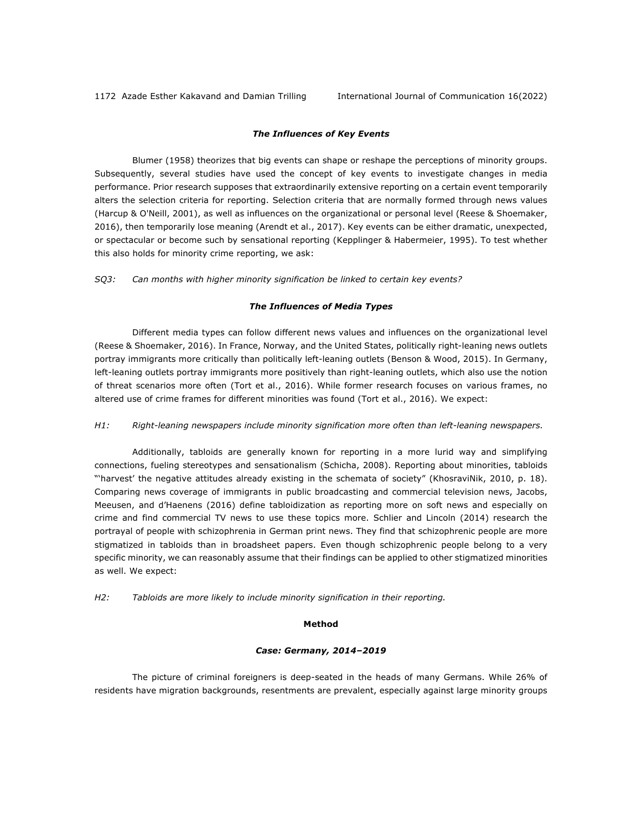#### *The Influences of Key Events*

Blumer (1958) theorizes that big events can shape or reshape the perceptions of minority groups. Subsequently, several studies have used the concept of key events to investigate changes in media performance. Prior research supposes that extraordinarily extensive reporting on a certain event temporarily alters the selection criteria for reporting. Selection criteria that are normally formed through news values (Harcup & O'Neill, 2001), as well as influences on the organizational or personal level (Reese & Shoemaker, 2016), then temporarily lose meaning (Arendt et al., 2017). Key events can be either dramatic, unexpected, or spectacular or become such by sensational reporting (Kepplinger & Habermeier, 1995). To test whether this also holds for minority crime reporting, we ask:

*SQ3: Can months with higher minority signification be linked to certain key events?*

#### *The Influences of Media Types*

Different media types can follow different news values and influences on the organizational level (Reese & Shoemaker, 2016). In France, Norway, and the United States, politically right-leaning news outlets portray immigrants more critically than politically left-leaning outlets (Benson & Wood, 2015). In Germany, left-leaning outlets portray immigrants more positively than right-leaning outlets, which also use the notion of threat scenarios more often (Tort et al., 2016). While former research focuses on various frames, no altered use of crime frames for different minorities was found (Tort et al., 2016). We expect:

#### *H1: Right-leaning newspapers include minority signification more often than left-leaning newspapers.*

Additionally, tabloids are generally known for reporting in a more lurid way and simplifying connections, fueling stereotypes and sensationalism (Schicha, 2008). Reporting about minorities, tabloids "'harvest' the negative attitudes already existing in the schemata of society" (KhosraviNik, 2010, p. 18). Comparing news coverage of immigrants in public broadcasting and commercial television news, Jacobs, Meeusen, and d'Haenens (2016) define tabloidization as reporting more on soft news and especially on crime and find commercial TV news to use these topics more. Schlier and Lincoln (2014) research the portrayal of people with schizophrenia in German print news. They find that schizophrenic people are more stigmatized in tabloids than in broadsheet papers. Even though schizophrenic people belong to a very specific minority, we can reasonably assume that their findings can be applied to other stigmatized minorities as well. We expect:

*H2: Tabloids are more likely to include minority signification in their reporting.*

#### **Method**

#### *Case: Germany, 2014–2019*

The picture of criminal foreigners is deep-seated in the heads of many Germans. While 26% of residents have migration backgrounds, resentments are prevalent, especially against large minority groups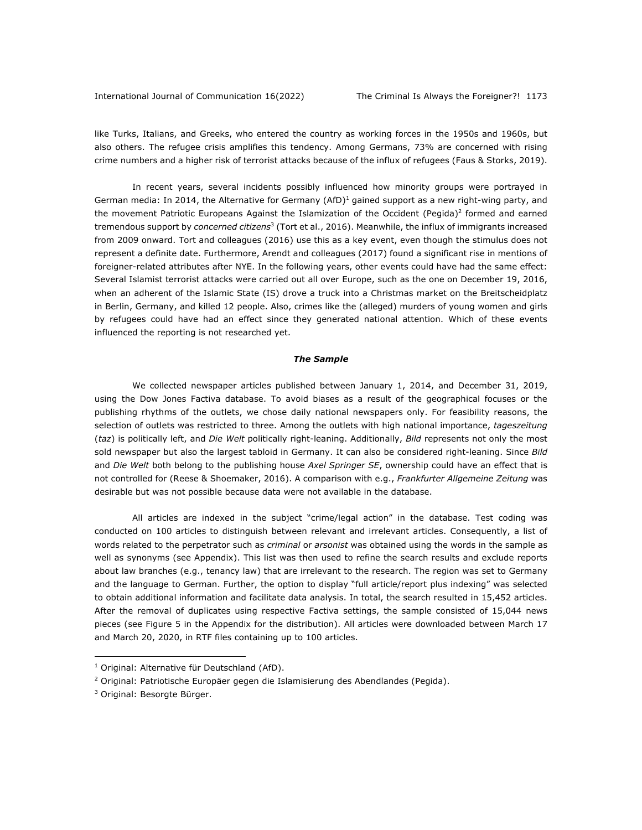#### International Journal of Communication 16(2022) The Criminal Is Always the Foreigner?! 1173

like Turks, Italians, and Greeks, who entered the country as working forces in the 1950s and 1960s, but also others. The refugee crisis amplifies this tendency. Among Germans, 73% are concerned with rising crime numbers and a higher risk of terrorist attacks because of the influx of refugees (Faus & Storks, 2019).

In recent years, several incidents possibly influenced how minority groups were portrayed in German media: In 2014, the Alternative for Germany (AfD)<sup>1</sup> gained support as a new right-wing party, and the movement Patriotic Europeans Against the Islamization of the Occident (Pegida)<sup>2</sup> formed and earned tremendous support by *concerned citizens*<sup>3</sup> (Tort et al., 2016). Meanwhile, the influx of immigrants increased from 2009 onward. Tort and colleagues (2016) use this as a key event, even though the stimulus does not represent a definite date. Furthermore, Arendt and colleagues (2017) found a significant rise in mentions of foreigner-related attributes after NYE. In the following years, other events could have had the same effect: Several Islamist terrorist attacks were carried out all over Europe, such as the one on December 19, 2016, when an adherent of the Islamic State (IS) drove a truck into a Christmas market on the Breitscheidplatz in Berlin, Germany, and killed 12 people. Also, crimes like the (alleged) murders of young women and girls by refugees could have had an effect since they generated national attention. Which of these events influenced the reporting is not researched yet.

#### *The Sample*

We collected newspaper articles published between January 1, 2014, and December 31, 2019, using the Dow Jones Factiva database. To avoid biases as a result of the geographical focuses or the publishing rhythms of the outlets, we chose daily national newspapers only. For feasibility reasons, the selection of outlets was restricted to three. Among the outlets with high national importance, *tageszeitung* (*taz*) is politically left, and *Die Welt* politically right-leaning. Additionally, *Bild* represents not only the most sold newspaper but also the largest tabloid in Germany. It can also be considered right-leaning. Since *Bild* and *Die Welt* both belong to the publishing house *Axel Springer SE*, ownership could have an effect that is not controlled for (Reese & Shoemaker, 2016). A comparison with e.g., *Frankfurter Allgemeine Zeitung* was desirable but was not possible because data were not available in the database.

All articles are indexed in the subject "crime/legal action" in the database. Test coding was conducted on 100 articles to distinguish between relevant and irrelevant articles. Consequently, a list of words related to the perpetrator such as *criminal* or *arsonist* was obtained using the words in the sample as well as synonyms (see Appendix). This list was then used to refine the search results and exclude reports about law branches (e.g., tenancy law) that are irrelevant to the research. The region was set to Germany and the language to German. Further, the option to display "full article/report plus indexing" was selected to obtain additional information and facilitate data analysis. In total, the search resulted in 15,452 articles. After the removal of duplicates using respective Factiva settings, the sample consisted of 15,044 news pieces (see Figure 5 in the Appendix for the distribution). All articles were downloaded between March 17 and March 20, 2020, in RTF files containing up to 100 articles.

<sup>&</sup>lt;sup>1</sup> Original: Alternative für Deutschland (AfD).

<sup>&</sup>lt;sup>2</sup> Original: Patriotische Europäer gegen die Islamisierung des Abendlandes (Pegida).

<sup>3</sup> Original: Besorgte Bürger.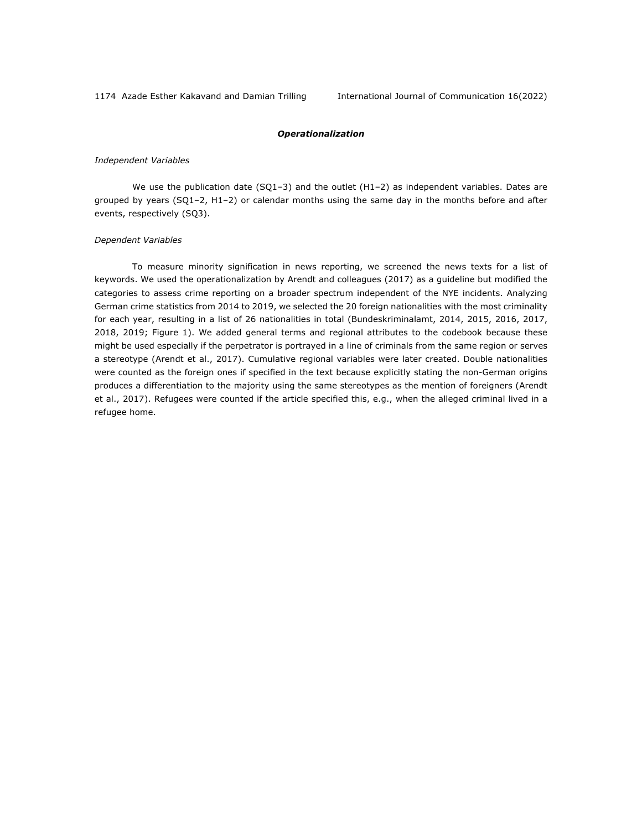#### *Operationalization*

#### *Independent Variables*

We use the publication date (SQ1-3) and the outlet (H1-2) as independent variables. Dates are grouped by years (SQ1–2, H1–2) or calendar months using the same day in the months before and after events, respectively (SQ3).

#### *Dependent Variables*

To measure minority signification in news reporting, we screened the news texts for a list of keywords. We used the operationalization by Arendt and colleagues (2017) as a guideline but modified the categories to assess crime reporting on a broader spectrum independent of the NYE incidents. Analyzing German crime statistics from 2014 to 2019, we selected the 20 foreign nationalities with the most criminality for each year, resulting in a list of 26 nationalities in total (Bundeskriminalamt, 2014, 2015, 2016, 2017, 2018, 2019; Figure 1). We added general terms and regional attributes to the codebook because these might be used especially if the perpetrator is portrayed in a line of criminals from the same region or serves a stereotype (Arendt et al., 2017). Cumulative regional variables were later created. Double nationalities were counted as the foreign ones if specified in the text because explicitly stating the non-German origins produces a differentiation to the majority using the same stereotypes as the mention of foreigners (Arendt et al., 2017). Refugees were counted if the article specified this, e.g., when the alleged criminal lived in a refugee home.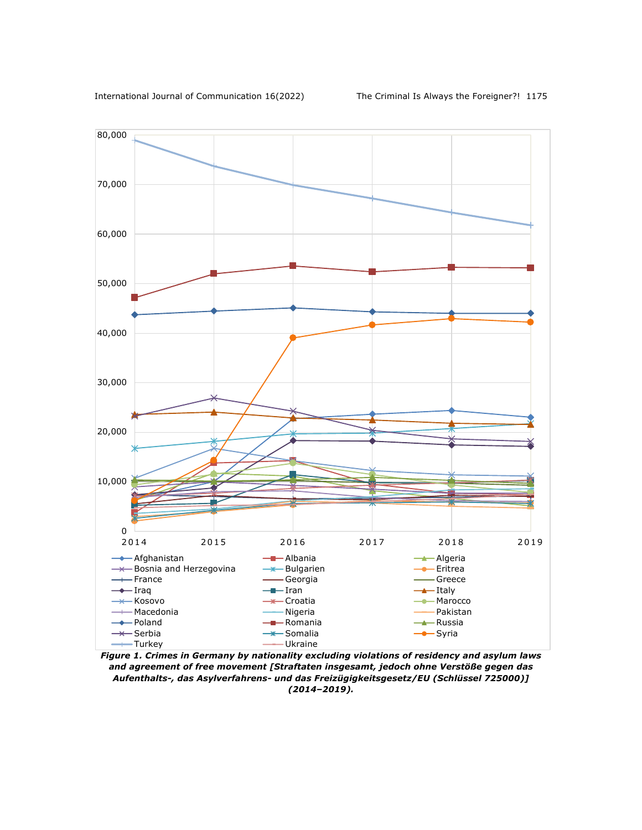

*Figure 1. Crimes in Germany by nationality excluding violations of residency and asylum laws and agreement of free movement [Straftaten insgesamt, jedoch ohne Verstöße gegen das Aufenthalts-, das Asylverfahrens- und das Freizügigkeitsgesetz/EU (Schlüssel 725000)] (2014–2019).*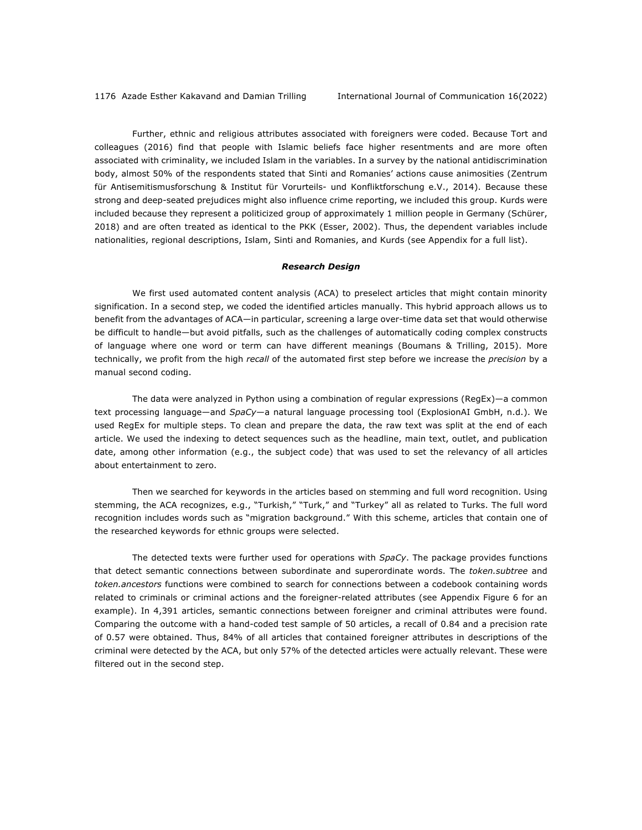Further, ethnic and religious attributes associated with foreigners were coded. Because Tort and colleagues (2016) find that people with Islamic beliefs face higher resentments and are more often associated with criminality, we included Islam in the variables. In a survey by the national antidiscrimination body, almost 50% of the respondents stated that Sinti and Romanies' actions cause animosities (Zentrum für Antisemitismusforschung & Institut für Vorurteils- und Konfliktforschung e.V., 2014). Because these strong and deep-seated prejudices might also influence crime reporting, we included this group. Kurds were included because they represent a politicized group of approximately 1 million people in Germany (Schürer, 2018) and are often treated as identical to the PKK (Esser, 2002). Thus, the dependent variables include nationalities, regional descriptions, Islam, Sinti and Romanies, and Kurds (see Appendix for a full list).

#### *Research Design*

We first used automated content analysis (ACA) to preselect articles that might contain minority signification. In a second step, we coded the identified articles manually. This hybrid approach allows us to benefit from the advantages of ACA—in particular, screening a large over-time data set that would otherwise be difficult to handle—but avoid pitfalls, such as the challenges of automatically coding complex constructs of language where one word or term can have different meanings (Boumans & Trilling, 2015). More technically, we profit from the high *recall* of the automated first step before we increase the *precision* by a manual second coding.

The data were analyzed in Python using a combination of regular expressions (RegEx)—a common text processing language—and *SpaCy*—a natural language processing tool (ExplosionAI GmbH, n.d.). We used RegEx for multiple steps. To clean and prepare the data, the raw text was split at the end of each article. We used the indexing to detect sequences such as the headline, main text, outlet, and publication date, among other information (e.g., the subject code) that was used to set the relevancy of all articles about entertainment to zero.

Then we searched for keywords in the articles based on stemming and full word recognition. Using stemming, the ACA recognizes, e.g., "Turkish," "Turk," and "Turkey" all as related to Turks. The full word recognition includes words such as "migration background." With this scheme, articles that contain one of the researched keywords for ethnic groups were selected.

The detected texts were further used for operations with *SpaCy*. The package provides functions that detect semantic connections between subordinate and superordinate words. The *token.subtree* and *token.ancestors* functions were combined to search for connections between a codebook containing words related to criminals or criminal actions and the foreigner-related attributes (see Appendix Figure 6 for an example). In 4,391 articles, semantic connections between foreigner and criminal attributes were found. Comparing the outcome with a hand-coded test sample of 50 articles, a recall of 0.84 and a precision rate of 0.57 were obtained. Thus, 84% of all articles that contained foreigner attributes in descriptions of the criminal were detected by the ACA, but only 57% of the detected articles were actually relevant. These were filtered out in the second step.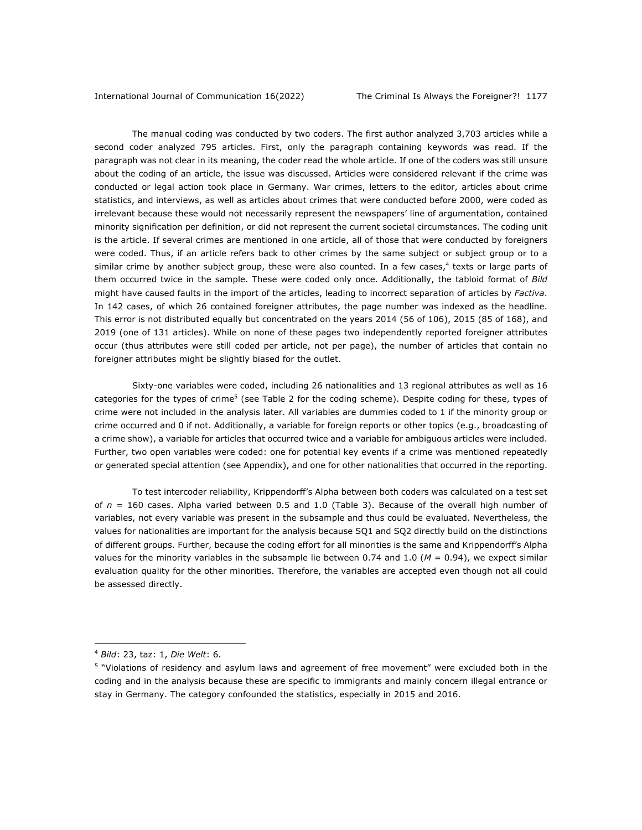The manual coding was conducted by two coders. The first author analyzed 3,703 articles while a second coder analyzed 795 articles. First, only the paragraph containing keywords was read. If the paragraph was not clear in its meaning, the coder read the whole article. If one of the coders was still unsure about the coding of an article, the issue was discussed. Articles were considered relevant if the crime was conducted or legal action took place in Germany. War crimes, letters to the editor, articles about crime statistics, and interviews, as well as articles about crimes that were conducted before 2000, were coded as irrelevant because these would not necessarily represent the newspapers' line of argumentation, contained minority signification per definition, or did not represent the current societal circumstances. The coding unit is the article. If several crimes are mentioned in one article, all of those that were conducted by foreigners were coded. Thus, if an article refers back to other crimes by the same subject or subject group or to a similar crime by another subject group, these were also counted. In a few cases, $4$  texts or large parts of them occurred twice in the sample. These were coded only once. Additionally, the tabloid format of *Bild* might have caused faults in the import of the articles, leading to incorrect separation of articles by *Factiva*. In 142 cases, of which 26 contained foreigner attributes, the page number was indexed as the headline. This error is not distributed equally but concentrated on the years 2014 (56 of 106), 2015 (85 of 168), and 2019 (one of 131 articles). While on none of these pages two independently reported foreigner attributes occur (thus attributes were still coded per article, not per page), the number of articles that contain no foreigner attributes might be slightly biased for the outlet.

Sixty-one variables were coded, including 26 nationalities and 13 regional attributes as well as 16 categories for the types of crime<sup>5</sup> (see Table 2 for the coding scheme). Despite coding for these, types of crime were not included in the analysis later. All variables are dummies coded to 1 if the minority group or crime occurred and 0 if not. Additionally, a variable for foreign reports or other topics (e.g., broadcasting of a crime show), a variable for articles that occurred twice and a variable for ambiguous articles were included. Further, two open variables were coded: one for potential key events if a crime was mentioned repeatedly or generated special attention (see Appendix), and one for other nationalities that occurred in the reporting.

To test intercoder reliability, Krippendorff's Alpha between both coders was calculated on a test set of *n* = 160 cases. Alpha varied between 0.5 and 1.0 (Table 3). Because of the overall high number of variables, not every variable was present in the subsample and thus could be evaluated. Nevertheless, the values for nationalities are important for the analysis because SQ1 and SQ2 directly build on the distinctions of different groups. Further, because the coding effort for all minorities is the same and Krippendorff's Alpha values for the minority variables in the subsample lie between 0.74 and 1.0 (*M* = 0.94), we expect similar evaluation quality for the other minorities. Therefore, the variables are accepted even though not all could be assessed directly.

<sup>4</sup> *Bild*: 23, taz: 1, *Die Welt*: 6.

<sup>5</sup> "Violations of residency and asylum laws and agreement of free movement" were excluded both in the coding and in the analysis because these are specific to immigrants and mainly concern illegal entrance or stay in Germany. The category confounded the statistics, especially in 2015 and 2016.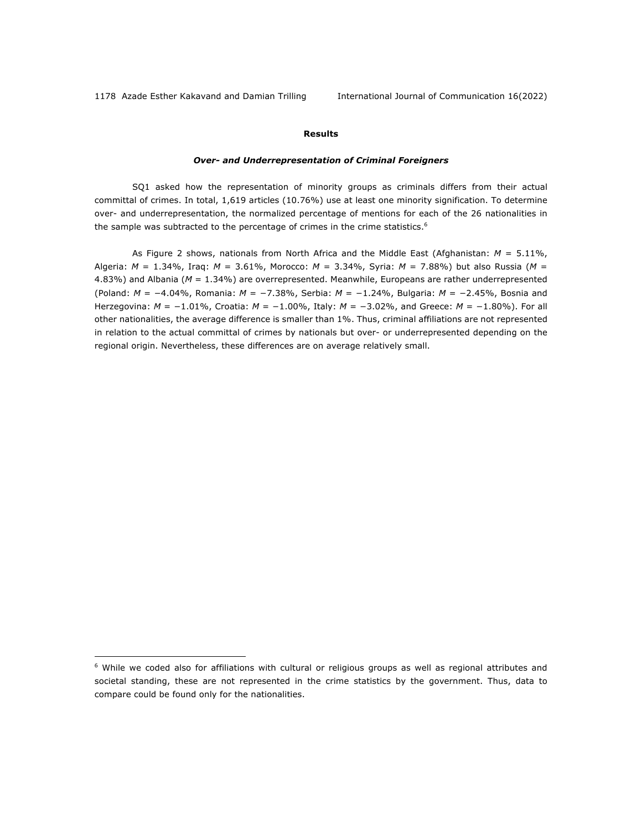#### **Results**

#### *Over- and Underrepresentation of Criminal Foreigners*

SQ1 asked how the representation of minority groups as criminals differs from their actual committal of crimes. In total, 1,619 articles (10.76%) use at least one minority signification. To determine over- and underrepresentation, the normalized percentage of mentions for each of the 26 nationalities in the sample was subtracted to the percentage of crimes in the crime statistics.<sup>6</sup>

As Figure 2 shows, nationals from North Africa and the Middle East (Afghanistan: *M* = 5.11%, Algeria: *M* = 1.34%, Iraq: *M* = 3.61%, Morocco: *M* = 3.34%, Syria: *M* = 7.88%) but also Russia (*M* = 4.83%) and Albania (*M* = 1.34%) are overrepresented. Meanwhile, Europeans are rather underrepresented (Poland: *M* = −4.04%, Romania: *M* = −7.38%, Serbia: *M* = −1.24%, Bulgaria: *M* = −2.45%, Bosnia and Herzegovina: *M* = −1.01%, Croatia: *M* = −1.00%, Italy: *M* = −3.02%, and Greece: *M* = −1.80%). For all other nationalities, the average difference is smaller than 1%. Thus, criminal affiliations are not represented in relation to the actual committal of crimes by nationals but over- or underrepresented depending on the regional origin. Nevertheless, these differences are on average relatively small.

<sup>&</sup>lt;sup>6</sup> While we coded also for affiliations with cultural or religious groups as well as regional attributes and societal standing, these are not represented in the crime statistics by the government. Thus, data to compare could be found only for the nationalities.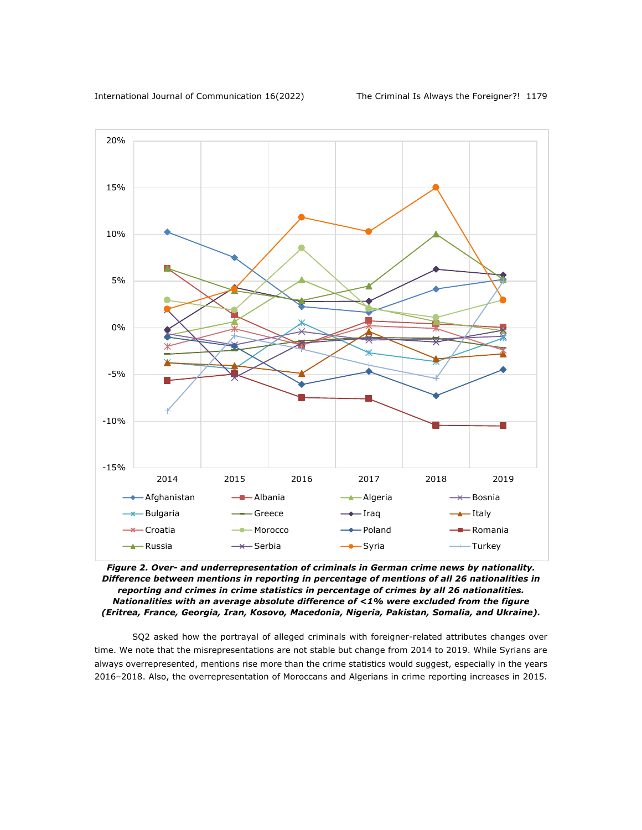

*Figure 2. Over- and underrepresentation of criminals in German crime news by nationality. Difference between mentions in reporting in percentage of mentions of all 26 nationalities in reporting and crimes in crime statistics in percentage of crimes by all 26 nationalities. Nationalities with an average absolute difference of <1% were excluded from the figure (Eritrea, France, Georgia, Iran, Kosovo, Macedonia, Nigeria, Pakistan, Somalia, and Ukraine).*

SQ2 asked how the portrayal of alleged criminals with foreigner-related attributes changes over time. We note that the misrepresentations are not stable but change from 2014 to 2019. While Syrians are always overrepresented, mentions rise more than the crime statistics would suggest, especially in the years 2016–2018. Also, the overrepresentation of Moroccans and Algerians in crime reporting increases in 2015.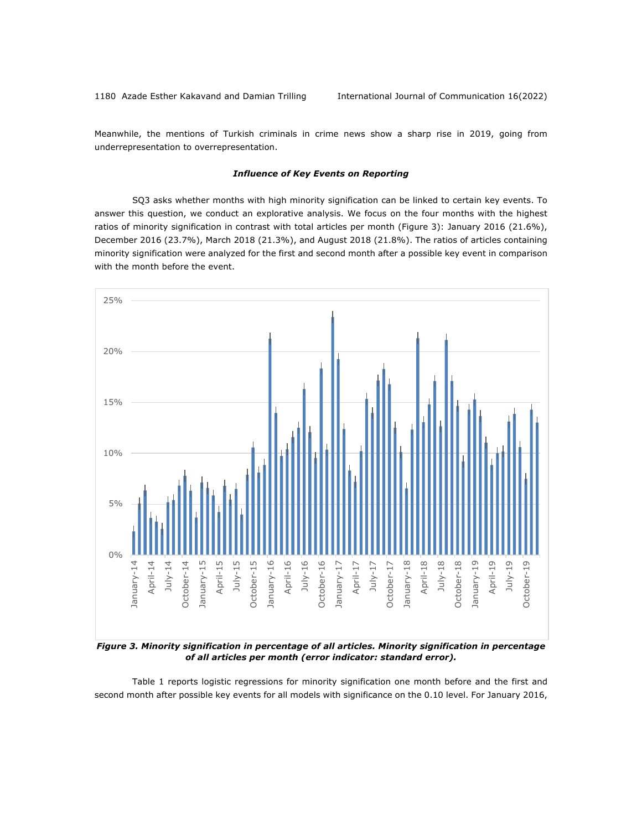Meanwhile, the mentions of Turkish criminals in crime news show a sharp rise in 2019, going from underrepresentation to overrepresentation.

#### *Influence of Key Events on Reporting*

SQ3 asks whether months with high minority signification can be linked to certain key events. To answer this question, we conduct an explorative analysis. We focus on the four months with the highest ratios of minority signification in contrast with total articles per month (Figure 3): January 2016 (21.6%), December 2016 (23.7%), March 2018 (21.3%), and August 2018 (21.8%). The ratios of articles containing minority signification were analyzed for the first and second month after a possible key event in comparison with the month before the event.



*of all articles per month (error indicator: standard error).*

Table 1 reports logistic regressions for minority signification one month before and the first and second month after possible key events for all models with significance on the 0.10 level. For January 2016,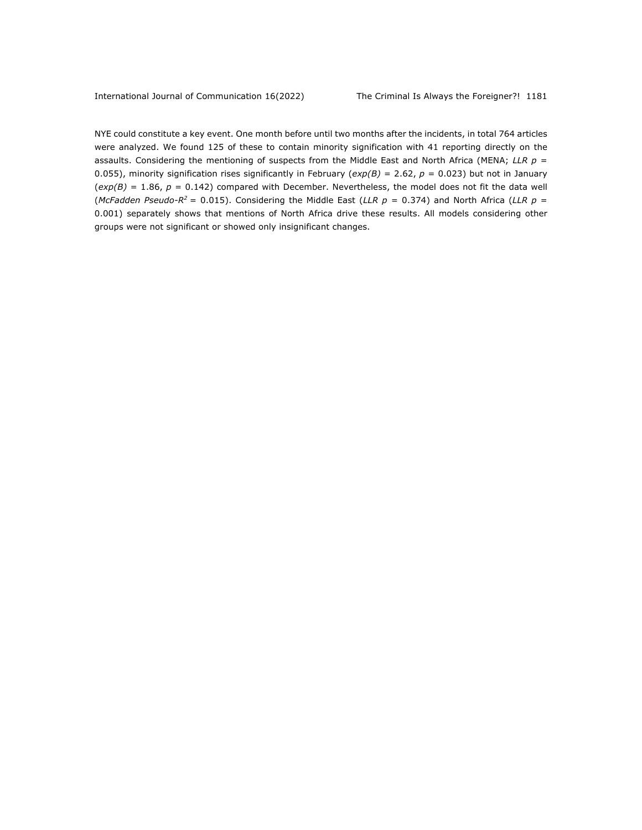NYE could constitute a key event. One month before until two months after the incidents, in total 764 articles were analyzed. We found 125 of these to contain minority signification with 41 reporting directly on the assaults. Considering the mentioning of suspects from the Middle East and North Africa (MENA; *LLR p* = 0.055), minority signification rises significantly in February ( $exp(B) = 2.62$ ,  $p = 0.023$ ) but not in January  $(exp(B) = 1.86, p = 0.142)$  compared with December. Nevertheless, the model does not fit the data well (*McFadden Pseudo-R<sup>2</sup>* = 0.015). Considering the Middle East (*LLR p* = 0.374) and North Africa (*LLR p* = 0.001) separately shows that mentions of North Africa drive these results. All models considering other groups were not significant or showed only insignificant changes.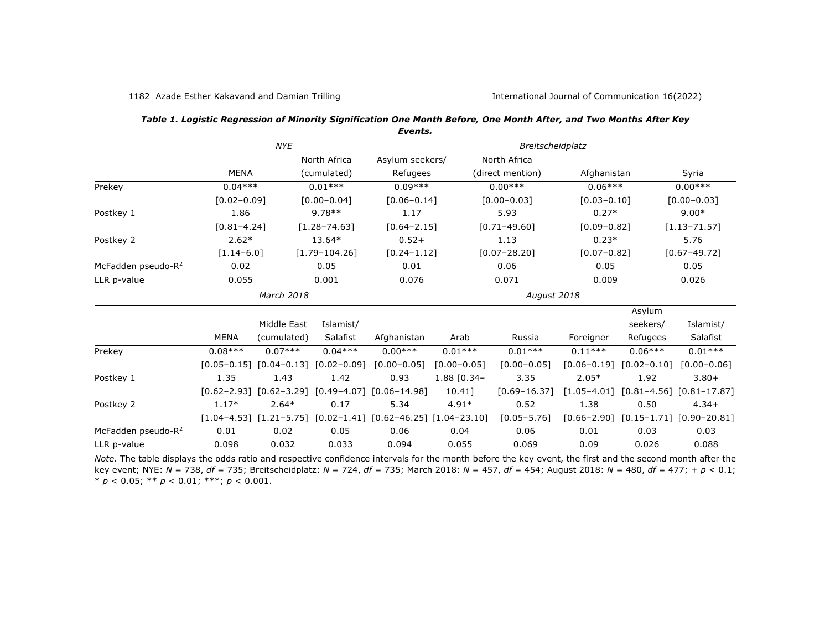|                                |                 |                                                 |                   | Events.                                                                 |                         |                  |                 |                 |                                                  |
|--------------------------------|-----------------|-------------------------------------------------|-------------------|-------------------------------------------------------------------------|-------------------------|------------------|-----------------|-----------------|--------------------------------------------------|
|                                | <b>NYE</b>      |                                                 |                   |                                                                         | <b>Breitscheidplatz</b> |                  |                 |                 |                                                  |
|                                |                 |                                                 | North Africa      | Asylum seekers/                                                         |                         | North Africa     |                 |                 |                                                  |
|                                | <b>MENA</b>     |                                                 | (cumulated)       | Refugees                                                                |                         | (direct mention) | Afghanistan     |                 | Syria                                            |
| Prekey                         | $0.04***$       |                                                 | $0.01***$         | $0.09***$                                                               |                         | $0.00***$        | $0.06***$       |                 | $0.00***$                                        |
|                                | $[0.02 - 0.09]$ |                                                 | $[0.00 - 0.04]$   | $[0.06 - 0.14]$                                                         |                         | $[0.00 - 0.03]$  | $[0.03 - 0.10]$ |                 | $[0.00 - 0.03]$                                  |
| Postkey 1                      | 1.86            |                                                 | $9.78**$          | 1.17                                                                    |                         | 5.93             | $0.27*$         |                 | $9.00*$                                          |
|                                | $[0.81 - 4.24]$ |                                                 | $[1.28 - 74.63]$  | $[0.64 - 2.15]$                                                         |                         | $[0.71 - 49.60]$ | $[0.09 - 0.82]$ |                 | $[1.13 - 71.57]$                                 |
| Postkey 2                      | $2.62*$         |                                                 | 13.64*            | $0.52+$                                                                 |                         | 1.13             | $0.23*$         |                 | 5.76                                             |
|                                | $[1.14 - 6.0]$  |                                                 | $[1.79 - 104.26]$ | $[0.24 - 1.12]$                                                         |                         | $[0.07 - 28.20]$ | $[0.07 - 0.82]$ |                 | $[0.67 - 49.72]$                                 |
| McFadden pseudo-R <sup>2</sup> | 0.02            |                                                 | 0.05              | 0.01                                                                    |                         | 0.06             | 0.05            |                 | 0.05                                             |
| LLR p-value                    | 0.055           |                                                 | 0.001             | 0.076                                                                   |                         | 0.071            | 0.009           |                 | 0.026                                            |
|                                |                 | March 2018                                      |                   |                                                                         |                         | August 2018      |                 |                 |                                                  |
|                                |                 |                                                 |                   |                                                                         |                         | Asylum           |                 |                 |                                                  |
|                                |                 | Middle East                                     | Islamist/         |                                                                         |                         |                  |                 | seekers/        | Islamist/                                        |
|                                | <b>MENA</b>     | (cumulated)                                     | Salafist          | Afghanistan                                                             | Arab                    | Russia           | Foreigner       | Refugees        | Salafist                                         |
| Prekey                         | $0.08***$       | $0.07***$                                       | $0.04***$         | $0.00***$                                                               | $0.01***$               | $0.01***$        | $0.11***$       | $0.06***$       | $0.01***$                                        |
|                                |                 | $[0.05 - 0.15]$ $[0.04 - 0.13]$ $[0.02 - 0.09]$ |                   | $[0.00 - 0.05]$                                                         | $[0.00 - 0.05]$         | $[0.00 - 0.05]$  | $[0.06 - 0.19]$ | $[0.02 - 0.10]$ | $[0.00 - 0.06]$                                  |
| Postkey 1                      | 1.35            | 1.43                                            | 1.42              | 0.93                                                                    | 1.88 [0.34-             | 3.35             | $2.05*$         | 1.92            | $3.80+$                                          |
|                                |                 |                                                 |                   | $[0.62-2.93]$ $[0.62-3.29]$ $[0.49-4.07]$ $[0.06-14.98]$                | 10.411                  | $[0.69 - 16.37]$ | $[1.05 - 4.01]$ |                 | $[0.81 - 4.56]$ $[0.81 - 17.87]$                 |
| Postkey 2                      | $1.17*$         | $2.64*$                                         | 0.17              | 5.34                                                                    | $4.91*$                 | 0.52             | 1.38            | 0.50            | $4.34+$                                          |
|                                |                 |                                                 |                   | $[1.04-4.53]$ $[1.21-5.75]$ $[0.02-1.41]$ $[0.62-46.25]$ $[1.04-23.10]$ |                         | $[0.05 - 5.76]$  |                 |                 | $[0.66 - 2.90]$ $[0.15 - 1.71]$ $[0.90 - 20.81]$ |
| McFadden pseudo-R <sup>2</sup> | 0.01            | 0.02                                            | 0.05              | 0.06                                                                    | 0.04                    | 0.06             | 0.01            | 0.03            | 0.03                                             |
| LLR p-value                    | 0.098           | 0.032                                           | 0.033             | 0.094                                                                   | 0.055                   | 0.069            | 0.09            | 0.026           | 0.088                                            |

| Table 1. Logistic Regression of Minority Signification One Month Before, One Month After, and Two Months After Key |  |  |
|--------------------------------------------------------------------------------------------------------------------|--|--|
|                                                                                                                    |  |  |

*Note*. The table displays the odds ratio and respective confidence intervals for the month before the key event, the first and the second month after the key event; NYE: *N* = 738, *df* = 735; Breitscheidplatz: *N* = 724, *df* = 735; March 2018: *N* = 457, *df* = 454; August 2018: *N* = 480, *df* = 477; + *p* < 0.1; \* *p* < 0.05; \*\* *p* < 0.01; \*\*\*; *p* < 0.001.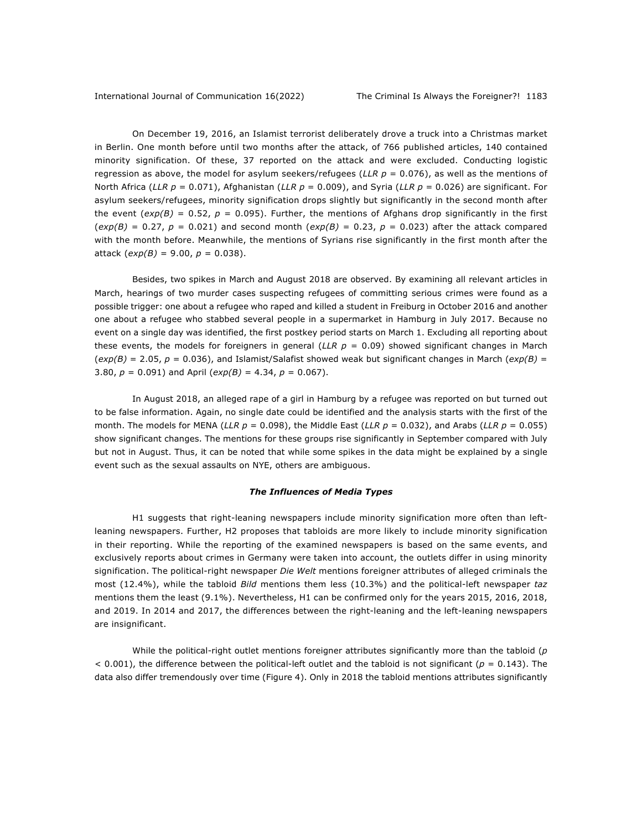On December 19, 2016, an Islamist terrorist deliberately drove a truck into a Christmas market in Berlin. One month before until two months after the attack, of 766 published articles, 140 contained minority signification. Of these, 37 reported on the attack and were excluded. Conducting logistic regression as above, the model for asylum seekers/refugees (*LLR p* = 0.076), as well as the mentions of North Africa (*LLR p* = 0.071), Afghanistan (*LLR p* = 0.009), and Syria (*LLR p* = 0.026) are significant. For asylum seekers/refugees, minority signification drops slightly but significantly in the second month after the event  $(exp(B) = 0.52, p = 0.095)$ . Further, the mentions of Afghans drop significantly in the first  $(exp(B) = 0.27, p = 0.021)$  and second month  $(exp(B) = 0.23, p = 0.023)$  after the attack compared with the month before. Meanwhile, the mentions of Syrians rise significantly in the first month after the attack  $(exp(B) = 9.00, p = 0.038)$ .

Besides, two spikes in March and August 2018 are observed. By examining all relevant articles in March, hearings of two murder cases suspecting refugees of committing serious crimes were found as a possible trigger: one about a refugee who raped and killed a student in Freiburg in October 2016 and another one about a refugee who stabbed several people in a supermarket in Hamburg in July 2017. Because no event on a single day was identified, the first postkey period starts on March 1. Excluding all reporting about these events, the models for foreigners in general (*LLR*  $p = 0.09$ *)* showed significant changes in March (*exp(B)* = 2.05, *p* = 0.036), and Islamist/Salafist showed weak but significant changes in March (*exp(B)* = 3.80, *p* = 0.091) and April (*exp(B)* = 4.34, *p* = 0.067).

In August 2018, an alleged rape of a girl in Hamburg by a refugee was reported on but turned out to be false information. Again, no single date could be identified and the analysis starts with the first of the month. The models for MENA (*LLR p* = 0.098), the Middle East (*LLR p* = 0.032), and Arabs (*LLR p* = 0.055) show significant changes. The mentions for these groups rise significantly in September compared with July but not in August. Thus, it can be noted that while some spikes in the data might be explained by a single event such as the sexual assaults on NYE, others are ambiguous.

#### *The Influences of Media Types*

H1 suggests that right-leaning newspapers include minority signification more often than leftleaning newspapers. Further, H2 proposes that tabloids are more likely to include minority signification in their reporting. While the reporting of the examined newspapers is based on the same events, and exclusively reports about crimes in Germany were taken into account, the outlets differ in using minority signification. The political-right newspaper *Die Welt* mentions foreigner attributes of alleged criminals the most (12.4%), while the tabloid *Bild* mentions them less (10.3%) and the political-left newspaper *taz* mentions them the least (9.1%). Nevertheless, H1 can be confirmed only for the years 2015, 2016, 2018, and 2019. In 2014 and 2017, the differences between the right-leaning and the left-leaning newspapers are insignificant.

While the political-right outlet mentions foreigner attributes significantly more than the tabloid (*p*  $<$  0.001), the difference between the political-left outlet and the tabloid is not significant ( $p = 0.143$ ). The data also differ tremendously over time (Figure 4). Only in 2018 the tabloid mentions attributes significantly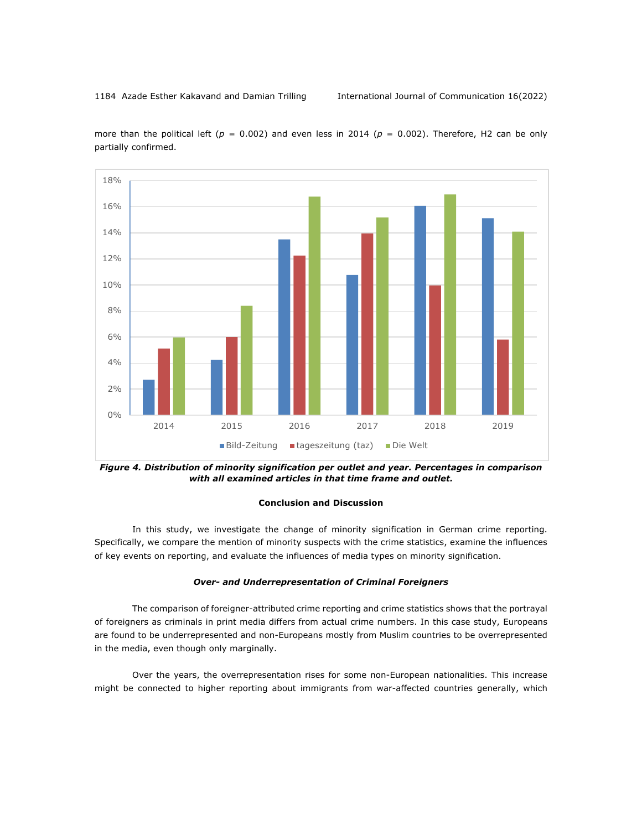

more than the political left ( $p = 0.002$ ) and even less in 2014 ( $p = 0.002$ ). Therefore, H2 can be only partially confirmed.

*Figure 4. Distribution of minority signification per outlet and year. Percentages in comparison with all examined articles in that time frame and outlet.*

#### **Conclusion and Discussion**

In this study, we investigate the change of minority signification in German crime reporting. Specifically, we compare the mention of minority suspects with the crime statistics, examine the influences of key events on reporting, and evaluate the influences of media types on minority signification.

#### *Over- and Underrepresentation of Criminal Foreigners*

The comparison of foreigner-attributed crime reporting and crime statistics shows that the portrayal of foreigners as criminals in print media differs from actual crime numbers. In this case study, Europeans are found to be underrepresented and non-Europeans mostly from Muslim countries to be overrepresented in the media, even though only marginally.

Over the years, the overrepresentation rises for some non-European nationalities. This increase might be connected to higher reporting about immigrants from war-affected countries generally, which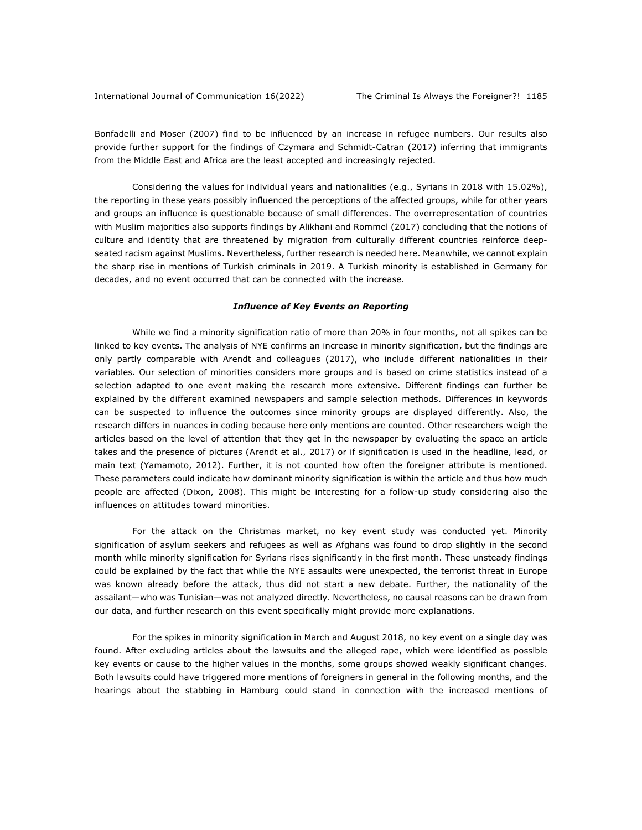Bonfadelli and Moser (2007) find to be influenced by an increase in refugee numbers. Our results also provide further support for the findings of Czymara and Schmidt-Catran (2017) inferring that immigrants from the Middle East and Africa are the least accepted and increasingly rejected.

Considering the values for individual years and nationalities (e.g., Syrians in 2018 with 15.02%), the reporting in these years possibly influenced the perceptions of the affected groups, while for other years and groups an influence is questionable because of small differences. The overrepresentation of countries with Muslim majorities also supports findings by Alikhani and Rommel (2017) concluding that the notions of culture and identity that are threatened by migration from culturally different countries reinforce deepseated racism against Muslims. Nevertheless, further research is needed here. Meanwhile, we cannot explain the sharp rise in mentions of Turkish criminals in 2019. A Turkish minority is established in Germany for decades, and no event occurred that can be connected with the increase.

#### *Influence of Key Events on Reporting*

While we find a minority signification ratio of more than 20% in four months, not all spikes can be linked to key events. The analysis of NYE confirms an increase in minority signification, but the findings are only partly comparable with Arendt and colleagues (2017), who include different nationalities in their variables. Our selection of minorities considers more groups and is based on crime statistics instead of a selection adapted to one event making the research more extensive. Different findings can further be explained by the different examined newspapers and sample selection methods. Differences in keywords can be suspected to influence the outcomes since minority groups are displayed differently. Also, the research differs in nuances in coding because here only mentions are counted. Other researchers weigh the articles based on the level of attention that they get in the newspaper by evaluating the space an article takes and the presence of pictures (Arendt et al., 2017) or if signification is used in the headline, lead, or main text (Yamamoto, 2012). Further, it is not counted how often the foreigner attribute is mentioned. These parameters could indicate how dominant minority signification is within the article and thus how much people are affected (Dixon, 2008). This might be interesting for a follow-up study considering also the influences on attitudes toward minorities.

For the attack on the Christmas market, no key event study was conducted yet. Minority signification of asylum seekers and refugees as well as Afghans was found to drop slightly in the second month while minority signification for Syrians rises significantly in the first month. These unsteady findings could be explained by the fact that while the NYE assaults were unexpected, the terrorist threat in Europe was known already before the attack, thus did not start a new debate. Further, the nationality of the assailant—who was Tunisian—was not analyzed directly. Nevertheless, no causal reasons can be drawn from our data, and further research on this event specifically might provide more explanations.

For the spikes in minority signification in March and August 2018, no key event on a single day was found. After excluding articles about the lawsuits and the alleged rape, which were identified as possible key events or cause to the higher values in the months, some groups showed weakly significant changes. Both lawsuits could have triggered more mentions of foreigners in general in the following months, and the hearings about the stabbing in Hamburg could stand in connection with the increased mentions of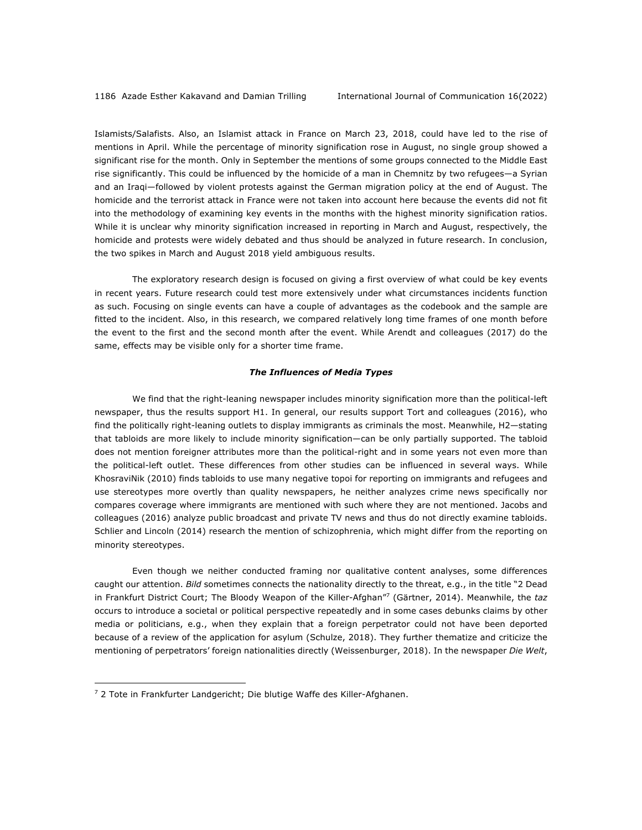Islamists/Salafists. Also, an Islamist attack in France on March 23, 2018, could have led to the rise of mentions in April. While the percentage of minority signification rose in August, no single group showed a significant rise for the month. Only in September the mentions of some groups connected to the Middle East rise significantly. This could be influenced by the homicide of a man in Chemnitz by two refugees—a Syrian and an Iraqi—followed by violent protests against the German migration policy at the end of August. The homicide and the terrorist attack in France were not taken into account here because the events did not fit into the methodology of examining key events in the months with the highest minority signification ratios. While it is unclear why minority signification increased in reporting in March and August, respectively, the homicide and protests were widely debated and thus should be analyzed in future research. In conclusion, the two spikes in March and August 2018 yield ambiguous results.

The exploratory research design is focused on giving a first overview of what could be key events in recent years. Future research could test more extensively under what circumstances incidents function as such. Focusing on single events can have a couple of advantages as the codebook and the sample are fitted to the incident. Also, in this research, we compared relatively long time frames of one month before the event to the first and the second month after the event. While Arendt and colleagues (2017) do the same, effects may be visible only for a shorter time frame.

#### *The Influences of Media Types*

We find that the right-leaning newspaper includes minority signification more than the political-left newspaper, thus the results support H1. In general, our results support Tort and colleagues (2016), who find the politically right-leaning outlets to display immigrants as criminals the most. Meanwhile, H2—stating that tabloids are more likely to include minority signification—can be only partially supported. The tabloid does not mention foreigner attributes more than the political-right and in some years not even more than the political-left outlet. These differences from other studies can be influenced in several ways. While KhosraviNik (2010) finds tabloids to use many negative topoi for reporting on immigrants and refugees and use stereotypes more overtly than quality newspapers, he neither analyzes crime news specifically nor compares coverage where immigrants are mentioned with such where they are not mentioned. Jacobs and colleagues (2016) analyze public broadcast and private TV news and thus do not directly examine tabloids. Schlier and Lincoln (2014) research the mention of schizophrenia, which might differ from the reporting on minority stereotypes.

Even though we neither conducted framing nor qualitative content analyses, some differences caught our attention. *Bild* sometimes connects the nationality directly to the threat, e.g., in the title "2 Dead in Frankfurt District Court; The Bloody Weapon of the Killer-Afghan"7 (Gärtner, 2014). Meanwhile, the *taz* occurs to introduce a societal or political perspective repeatedly and in some cases debunks claims by other media or politicians, e.g., when they explain that a foreign perpetrator could not have been deported because of a review of the application for asylum (Schulze, 2018). They further thematize and criticize the mentioning of perpetrators' foreign nationalities directly (Weissenburger, 2018). In the newspaper *Die Welt*,

 $7$  2 Tote in Frankfurter Landgericht; Die blutige Waffe des Killer-Afghanen.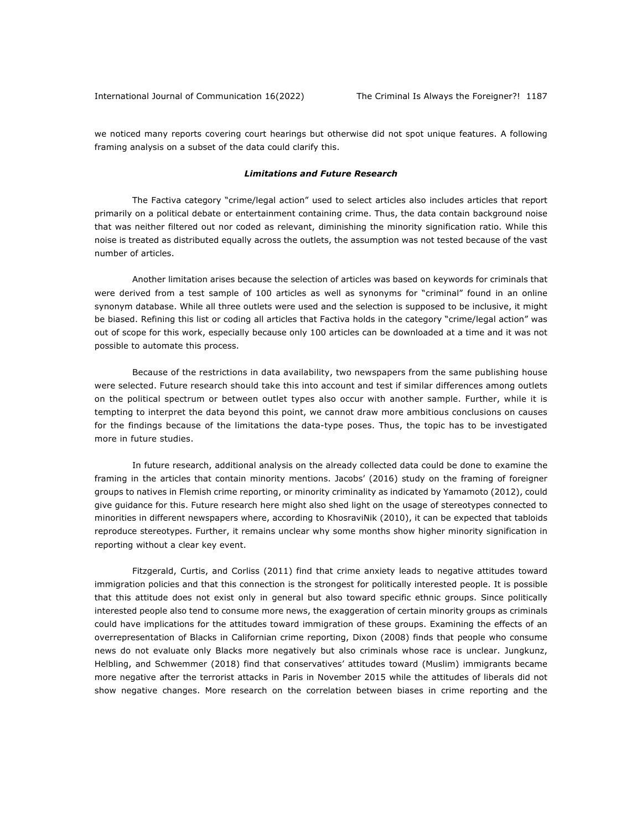we noticed many reports covering court hearings but otherwise did not spot unique features. A following framing analysis on a subset of the data could clarify this.

#### *Limitations and Future Research*

The Factiva category "crime/legal action" used to select articles also includes articles that report primarily on a political debate or entertainment containing crime. Thus, the data contain background noise that was neither filtered out nor coded as relevant, diminishing the minority signification ratio. While this noise is treated as distributed equally across the outlets, the assumption was not tested because of the vast number of articles.

Another limitation arises because the selection of articles was based on keywords for criminals that were derived from a test sample of 100 articles as well as synonyms for "criminal" found in an online synonym database. While all three outlets were used and the selection is supposed to be inclusive, it might be biased. Refining this list or coding all articles that Factiva holds in the category "crime/legal action" was out of scope for this work, especially because only 100 articles can be downloaded at a time and it was not possible to automate this process.

Because of the restrictions in data availability, two newspapers from the same publishing house were selected. Future research should take this into account and test if similar differences among outlets on the political spectrum or between outlet types also occur with another sample. Further, while it is tempting to interpret the data beyond this point, we cannot draw more ambitious conclusions on causes for the findings because of the limitations the data-type poses. Thus, the topic has to be investigated more in future studies.

In future research, additional analysis on the already collected data could be done to examine the framing in the articles that contain minority mentions. Jacobs' (2016) study on the framing of foreigner groups to natives in Flemish crime reporting, or minority criminality as indicated by Yamamoto (2012), could give guidance for this. Future research here might also shed light on the usage of stereotypes connected to minorities in different newspapers where, according to KhosraviNik (2010), it can be expected that tabloids reproduce stereotypes. Further, it remains unclear why some months show higher minority signification in reporting without a clear key event.

Fitzgerald, Curtis, and Corliss (2011) find that crime anxiety leads to negative attitudes toward immigration policies and that this connection is the strongest for politically interested people. It is possible that this attitude does not exist only in general but also toward specific ethnic groups. Since politically interested people also tend to consume more news, the exaggeration of certain minority groups as criminals could have implications for the attitudes toward immigration of these groups. Examining the effects of an overrepresentation of Blacks in Californian crime reporting, Dixon (2008) finds that people who consume news do not evaluate only Blacks more negatively but also criminals whose race is unclear. Jungkunz, Helbling, and Schwemmer (2018) find that conservatives' attitudes toward (Muslim) immigrants became more negative after the terrorist attacks in Paris in November 2015 while the attitudes of liberals did not show negative changes. More research on the correlation between biases in crime reporting and the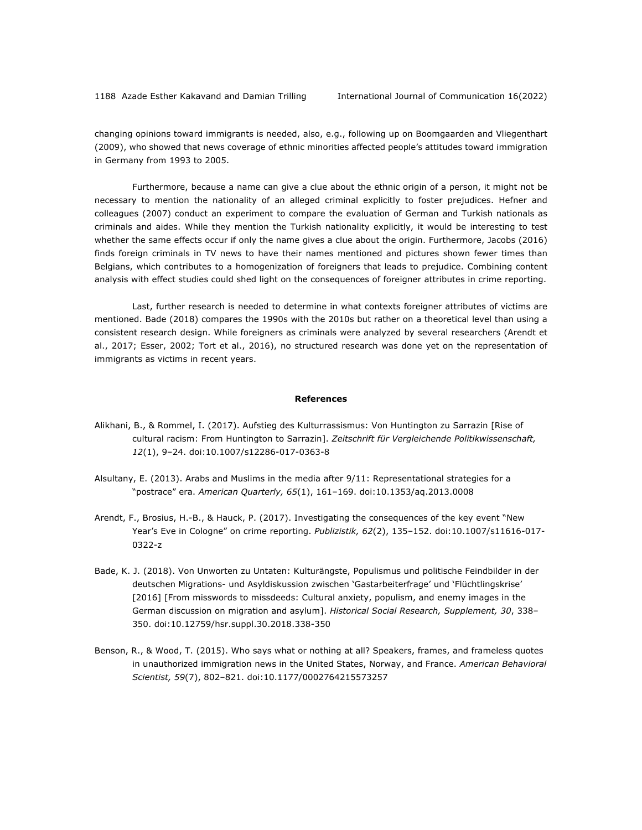changing opinions toward immigrants is needed, also, e.g., following up on Boomgaarden and Vliegenthart (2009), who showed that news coverage of ethnic minorities affected people's attitudes toward immigration in Germany from 1993 to 2005.

Furthermore, because a name can give a clue about the ethnic origin of a person, it might not be necessary to mention the nationality of an alleged criminal explicitly to foster prejudices. Hefner and colleagues (2007) conduct an experiment to compare the evaluation of German and Turkish nationals as criminals and aides. While they mention the Turkish nationality explicitly, it would be interesting to test whether the same effects occur if only the name gives a clue about the origin. Furthermore, Jacobs (2016) finds foreign criminals in TV news to have their names mentioned and pictures shown fewer times than Belgians, which contributes to a homogenization of foreigners that leads to prejudice. Combining content analysis with effect studies could shed light on the consequences of foreigner attributes in crime reporting.

Last, further research is needed to determine in what contexts foreigner attributes of victims are mentioned. Bade (2018) compares the 1990s with the 2010s but rather on a theoretical level than using a consistent research design. While foreigners as criminals were analyzed by several researchers (Arendt et al., 2017; Esser, 2002; Tort et al., 2016), no structured research was done yet on the representation of immigrants as victims in recent years.

#### **References**

- Alikhani, B., & Rommel, I. (2017). Aufstieg des Kulturrassismus: Von Huntington zu Sarrazin [Rise of cultural racism: From Huntington to Sarrazin]. *Zeitschrift für Vergleichende Politikwissenschaft, 12*(1), 9–24. doi:10.1007/s12286-017-0363-8
- Alsultany, E. (2013). Arabs and Muslims in the media after 9/11: Representational strategies for a "postrace" era. *American Quarterly, 65*(1), 161–169. doi:10.1353/aq.2013.0008
- Arendt, F., Brosius, H.-B., & Hauck, P. (2017). Investigating the consequences of the key event "New Year's Eve in Cologne" on crime reporting. *Publizistik, 62*(2), 135–152. doi:10.1007/s11616-017- 0322-z
- Bade, K. J. (2018). Von Unworten zu Untaten: Kulturängste, Populismus und politische Feindbilder in der deutschen Migrations- und Asyldiskussion zwischen 'Gastarbeiterfrage' und 'Flüchtlingskrise' [2016] [From misswords to missdeeds: Cultural anxiety, populism, and enemy images in the German discussion on migration and asylum]. *Historical Social Research, Supplement, 30*, 338– 350. doi:10.12759/hsr.suppl.30.2018.338-350
- Benson, R., & Wood, T. (2015). Who says what or nothing at all? Speakers, frames, and frameless quotes in unauthorized immigration news in the United States, Norway, and France. *American Behavioral Scientist, 59*(7), 802–821. doi:10.1177/0002764215573257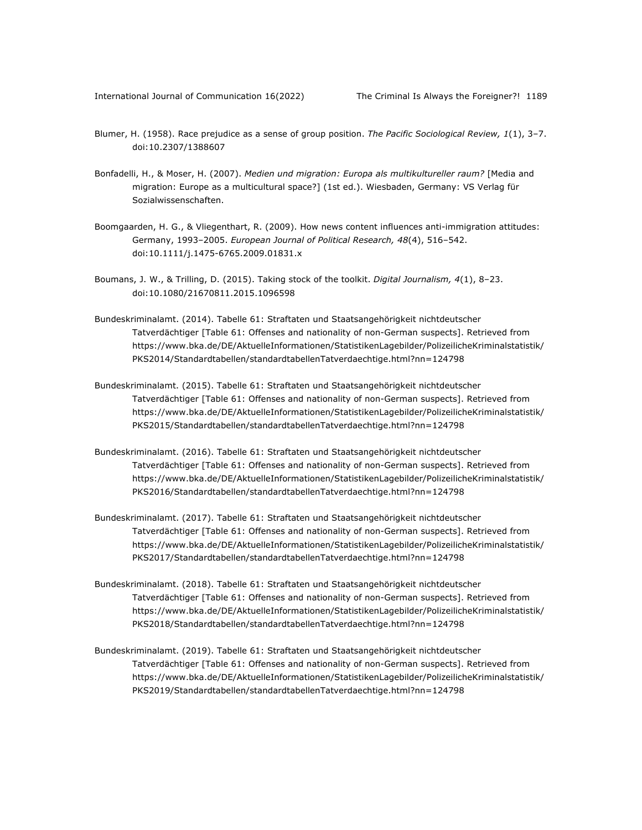- Blumer, H. (1958). Race prejudice as a sense of group position. *The Pacific Sociological Review, 1*(1), 3–7. doi:10.2307/1388607
- Bonfadelli, H., & Moser, H. (2007). *Medien und migration: Europa als multikultureller raum?* [Media and migration: Europe as a multicultural space?] (1st ed.). Wiesbaden, Germany: VS Verlag für Sozialwissenschaften.
- Boomgaarden, H. G., & Vliegenthart, R. (2009). How news content influences anti-immigration attitudes: Germany, 1993–2005. *European Journal of Political Research, 48*(4), 516–542. doi:10.1111/j.1475-6765.2009.01831.x
- Boumans, J. W., & Trilling, D. (2015). Taking stock of the toolkit. *Digital Journalism, 4*(1), 8–23. doi:10.1080/21670811.2015.1096598
- Bundeskriminalamt. (2014). Tabelle 61: Straftaten und Staatsangehörigkeit nichtdeutscher Tatverdächtiger [Table 61: Offenses and nationality of non-German suspects]. Retrieved from https://www.bka.de/DE/AktuelleInformationen/StatistikenLagebilder/PolizeilicheKriminalstatistik/ PKS2014/Standardtabellen/standardtabellenTatverdaechtige.html?nn=124798
- Bundeskriminalamt. (2015). Tabelle 61: Straftaten und Staatsangehörigkeit nichtdeutscher Tatverdächtiger [Table 61: Offenses and nationality of non-German suspects]. Retrieved from https://www.bka.de/DE/AktuelleInformationen/StatistikenLagebilder/PolizeilicheKriminalstatistik/ PKS2015/Standardtabellen/standardtabellenTatverdaechtige.html?nn=124798
- Bundeskriminalamt. (2016). Tabelle 61: Straftaten und Staatsangehörigkeit nichtdeutscher Tatverdächtiger [Table 61: Offenses and nationality of non-German suspects]. Retrieved from https://www.bka.de/DE/AktuelleInformationen/StatistikenLagebilder/PolizeilicheKriminalstatistik/ PKS2016/Standardtabellen/standardtabellenTatverdaechtige.html?nn=124798
- Bundeskriminalamt. (2017). Tabelle 61: Straftaten und Staatsangehörigkeit nichtdeutscher Tatverdächtiger [Table 61: Offenses and nationality of non-German suspects]. Retrieved from https://www.bka.de/DE/AktuelleInformationen/StatistikenLagebilder/PolizeilicheKriminalstatistik/ PKS2017/Standardtabellen/standardtabellenTatverdaechtige.html?nn=124798
- Bundeskriminalamt. (2018). Tabelle 61: Straftaten und Staatsangehörigkeit nichtdeutscher Tatverdächtiger [Table 61: Offenses and nationality of non-German suspects]. Retrieved from https://www.bka.de/DE/AktuelleInformationen/StatistikenLagebilder/PolizeilicheKriminalstatistik/ PKS2018/Standardtabellen/standardtabellenTatverdaechtige.html?nn=124798
- Bundeskriminalamt. (2019). Tabelle 61: Straftaten und Staatsangehörigkeit nichtdeutscher Tatverdächtiger [Table 61: Offenses and nationality of non-German suspects]. Retrieved from https://www.bka.de/DE/AktuelleInformationen/StatistikenLagebilder/PolizeilicheKriminalstatistik/ PKS2019/Standardtabellen/standardtabellenTatverdaechtige.html?nn=124798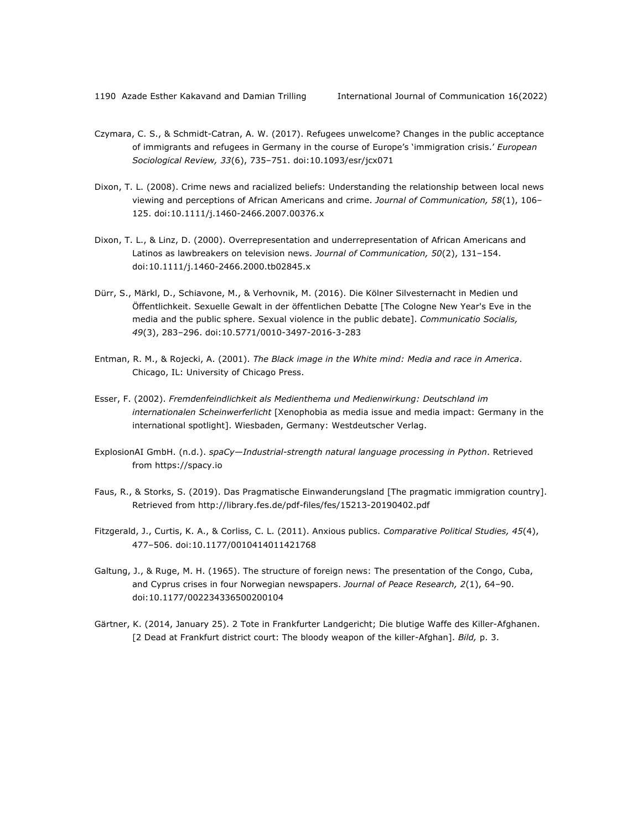- Czymara, C. S., & Schmidt-Catran, A. W. (2017). Refugees unwelcome? Changes in the public acceptance of immigrants and refugees in Germany in the course of Europe's 'immigration crisis.' *European Sociological Review, 33*(6), 735–751. doi:10.1093/esr/jcx071
- Dixon, T. L. (2008). Crime news and racialized beliefs: Understanding the relationship between local news viewing and perceptions of African Americans and crime. *Journal of Communication, 58*(1), 106– 125. doi:10.1111/j.1460-2466.2007.00376.x
- Dixon, T. L., & Linz, D. (2000). Overrepresentation and underrepresentation of African Americans and Latinos as lawbreakers on television news. *Journal of Communication, 50*(2), 131–154. doi:10.1111/j.1460-2466.2000.tb02845.x
- Dürr, S., Märkl, D., Schiavone, M., & Verhovnik, M. (2016). Die Kölner Silvesternacht in Medien und Öffentlichkeit. Sexuelle Gewalt in der öffentlichen Debatte [The Cologne New Year's Eve in the media and the public sphere. Sexual violence in the public debate]. *Communicatio Socialis, 49*(3), 283–296. doi:10.5771/0010-3497-2016-3-283
- Entman, R. M., & Rojecki, A. (2001). *The Black image in the White mind: Media and race in America*. Chicago, IL: University of Chicago Press.
- Esser, F. (2002). *Fremdenfeindlichkeit als Medienthema und Medienwirkung: Deutschland im internationalen Scheinwerferlicht* [Xenophobia as media issue and media impact: Germany in the international spotlight]. Wiesbaden, Germany: Westdeutscher Verlag.
- ExplosionAI GmbH. (n.d.). *spaCy—Industrial-strength natural language processing in Python*. Retrieved from https://spacy.io
- Faus, R., & Storks, S. (2019). Das Pragmatische Einwanderungsland [The pragmatic immigration country]. Retrieved from http://library.fes.de/pdf-files/fes/15213-20190402.pdf
- Fitzgerald, J., Curtis, K. A., & Corliss, C. L. (2011). Anxious publics. *Comparative Political Studies, 45*(4), 477–506. doi:10.1177/0010414011421768
- Galtung, J., & Ruge, M. H. (1965). The structure of foreign news: The presentation of the Congo, Cuba, and Cyprus crises in four Norwegian newspapers. *Journal of Peace Research, 2*(1), 64–90. doi:10.1177/002234336500200104
- Gärtner, K. (2014, January 25). 2 Tote in Frankfurter Landgericht; Die blutige Waffe des Killer-Afghanen. [2 Dead at Frankfurt district court: The bloody weapon of the killer-Afghan]. *Bild,* p. 3.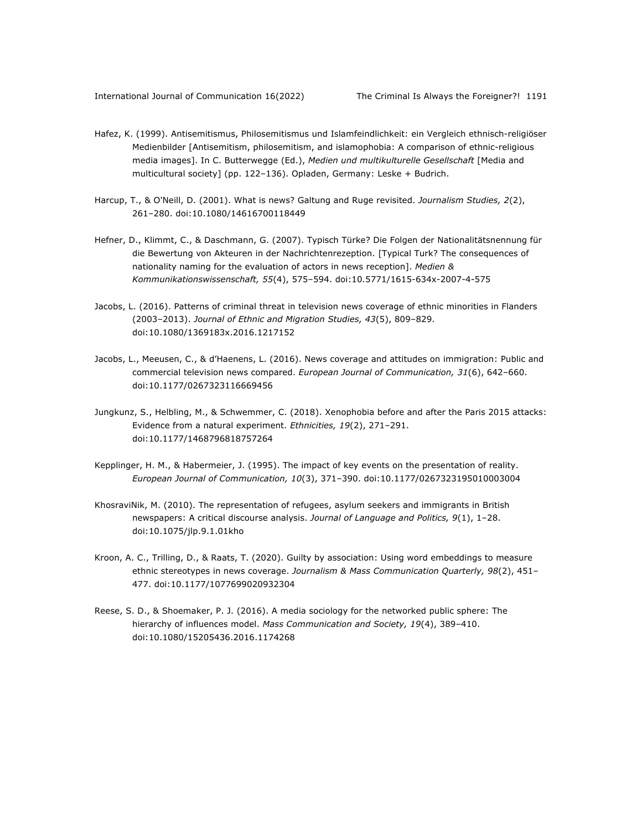- Hafez, K. (1999). Antisemitismus, Philosemitismus und Islamfeindlichkeit: ein Vergleich ethnisch-religiöser Medienbilder [Antisemitism, philosemitism, and islamophobia: A comparison of ethnic-religious media images]. In C. Butterwegge (Ed.), *Medien und multikulturelle Gesellschaft* [Media and multicultural society] (pp. 122–136). Opladen, Germany: Leske + Budrich.
- Harcup, T., & O'Neill, D. (2001). What is news? Galtung and Ruge revisited. *Journalism Studies, 2*(2), 261–280. doi:10.1080/14616700118449
- Hefner, D., Klimmt, C., & Daschmann, G. (2007). Typisch Türke? Die Folgen der Nationalitätsnennung für die Bewertung von Akteuren in der Nachrichtenrezeption. [Typical Turk? The consequences of nationality naming for the evaluation of actors in news reception]. *Medien & Kommunikationswissenschaft, 55*(4), 575–594. doi:10.5771/1615-634x-2007-4-575
- Jacobs, L. (2016). Patterns of criminal threat in television news coverage of ethnic minorities in Flanders (2003–2013). *Journal of Ethnic and Migration Studies, 43*(5), 809–829. doi:10.1080/1369183x.2016.1217152
- Jacobs, L., Meeusen, C., & d'Haenens, L. (2016). News coverage and attitudes on immigration: Public and commercial television news compared. *European Journal of Communication, 31*(6), 642–660. doi:10.1177/0267323116669456
- Jungkunz, S., Helbling, M., & Schwemmer, C. (2018). Xenophobia before and after the Paris 2015 attacks: Evidence from a natural experiment. *Ethnicities, 19*(2), 271–291. doi:10.1177/1468796818757264
- Kepplinger, H. M., & Habermeier, J. (1995). The impact of key events on the presentation of reality. *European Journal of Communication, 10*(3), 371–390. doi:10.1177/0267323195010003004
- KhosraviNik, M. (2010). The representation of refugees, asylum seekers and immigrants in British newspapers: A critical discourse analysis. *Journal of Language and Politics, 9*(1), 1–28. doi:10.1075/jlp.9.1.01kho
- Kroon, A. C., Trilling, D., & Raats, T. (2020). Guilty by association: Using word embeddings to measure ethnic stereotypes in news coverage. *Journalism & Mass Communication Quarterly, 98*(2), 451– 477. doi:10.1177/1077699020932304
- Reese, S. D., & Shoemaker, P. J. (2016). A media sociology for the networked public sphere: The hierarchy of influences model. *Mass Communication and Society, 19*(4), 389–410. doi:10.1080/15205436.2016.1174268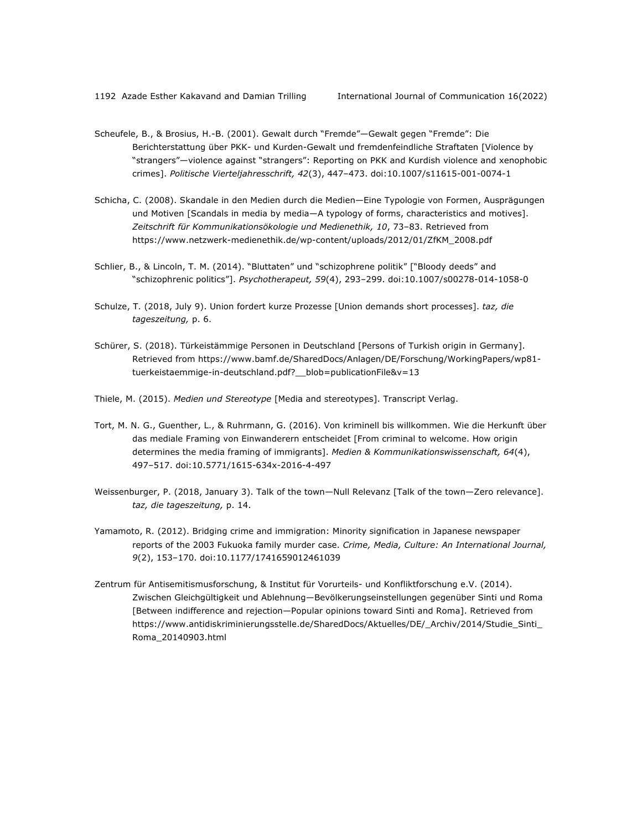- Scheufele, B., & Brosius, H.-B. (2001). Gewalt durch "Fremde"—Gewalt gegen "Fremde": Die Berichterstattung über PKK- und Kurden-Gewalt und fremdenfeindliche Straftaten [Violence by "strangers"—violence against "strangers": Reporting on PKK and Kurdish violence and xenophobic crimes]. *Politische Vierteljahresschrift, 42*(3), 447–473. doi:10.1007/s11615-001-0074-1
- Schicha, C. (2008). Skandale in den Medien durch die Medien—Eine Typologie von Formen, Ausprägungen und Motiven [Scandals in media by media—A typology of forms, characteristics and motives]. *Zeitschrift für Kommunikationsökologie und Medienethik, 10*, 73–83. Retrieved from https://www.netzwerk-medienethik.de/wp-content/uploads/2012/01/ZfKM\_2008.pdf
- Schlier, B., & Lincoln, T. M. (2014). "Bluttaten" und "schizophrene politik" ["Bloody deeds" and "schizophrenic politics"]. *Psychotherapeut, 59*(4), 293–299. doi:10.1007/s00278-014-1058-0
- Schulze, T. (2018, July 9). Union fordert kurze Prozesse [Union demands short processes]. *taz, die tageszeitung,* p. 6.
- Schürer, S. (2018). Türkeistämmige Personen in Deutschland [Persons of Turkish origin in Germany]. Retrieved from https://www.bamf.de/SharedDocs/Anlagen/DE/Forschung/WorkingPapers/wp81 tuerkeistaemmige-in-deutschland.pdf?\_\_blob=publicationFile&v=13
- Thiele, M. (2015). *Medien und Stereotype* [Media and stereotypes]. Transcript Verlag.
- Tort, M. N. G., Guenther, L., & Ruhrmann, G. (2016). Von kriminell bis willkommen. Wie die Herkunft über das mediale Framing von Einwanderern entscheidet [From criminal to welcome. How origin determines the media framing of immigrants]. *Medien & Kommunikationswissenschaft, 64*(4), 497–517. doi:10.5771/1615-634x-2016-4-497
- Weissenburger, P. (2018, January 3). Talk of the town—Null Relevanz [Talk of the town—Zero relevance]. *taz, die tageszeitung,* p. 14.
- Yamamoto, R. (2012). Bridging crime and immigration: Minority signification in Japanese newspaper reports of the 2003 Fukuoka family murder case. *Crime, Media, Culture: An International Journal, 9*(2), 153–170. doi:10.1177/1741659012461039
- Zentrum für Antisemitismusforschung, & Institut für Vorurteils- und Konfliktforschung e.V. (2014). Zwischen Gleichgültigkeit und Ablehnung—Bevölkerungseinstellungen gegenüber Sinti und Roma [Between indifference and rejection—Popular opinions toward Sinti and Roma]. Retrieved from https://www.antidiskriminierungsstelle.de/SharedDocs/Aktuelles/DE/\_Archiv/2014/Studie\_Sinti\_ Roma\_20140903.html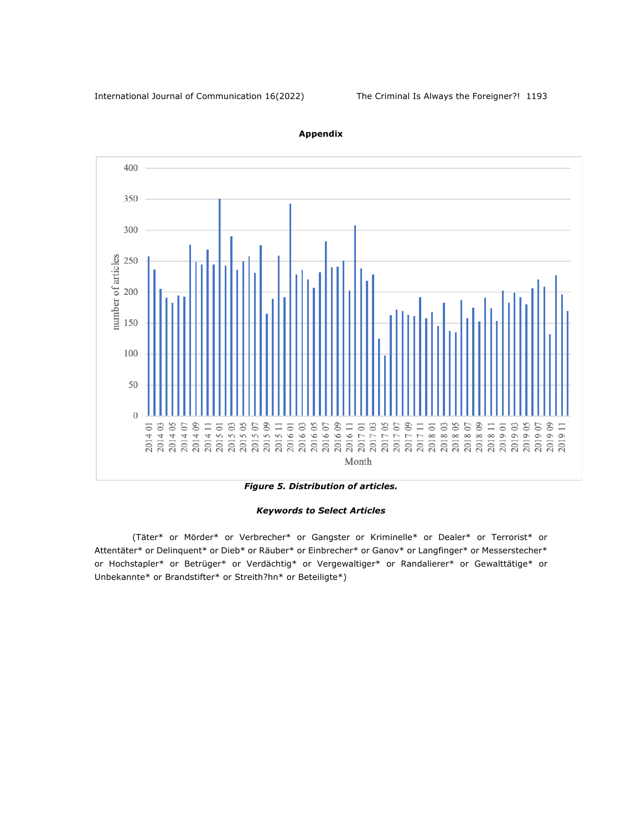

**Appendix**

*Figure 5. Distribution of articles.*

#### *Keywords to Select Articles*

(Täter\* or Mörder\* or Verbrecher\* or Gangster or Kriminelle\* or Dealer\* or Terrorist\* or Attentäter\* or Delinquent\* or Dieb\* or Räuber\* or Einbrecher\* or Ganov\* or Langfinger\* or Messerstecher\* or Hochstapler\* or Betrüger\* or Verdächtig\* or Vergewaltiger\* or Randalierer\* or Gewalttätige\* or Unbekannte\* or Brandstifter\* or Streith?hn\* or Beteiligte\*)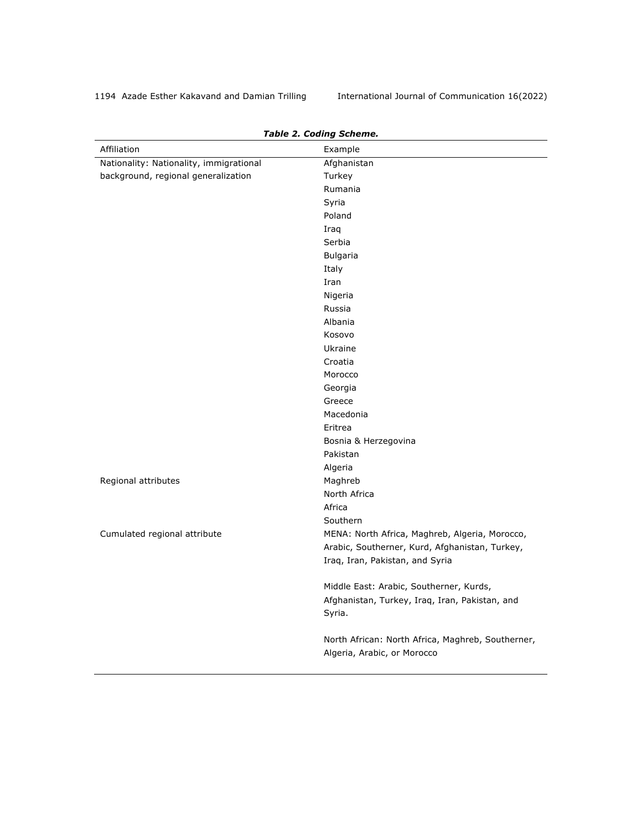| Affiliation                             | rable 2. County Scheme.<br>Example                                               |
|-----------------------------------------|----------------------------------------------------------------------------------|
| Nationality: Nationality, immigrational | Afghanistan                                                                      |
| background, regional generalization     | Turkey                                                                           |
|                                         | Rumania                                                                          |
|                                         | Syria                                                                            |
|                                         | Poland                                                                           |
|                                         | Iraq                                                                             |
|                                         | Serbia                                                                           |
|                                         | Bulgaria                                                                         |
|                                         | Italy                                                                            |
|                                         | Iran                                                                             |
|                                         | Nigeria                                                                          |
|                                         | Russia                                                                           |
|                                         | Albania                                                                          |
|                                         | Kosovo                                                                           |
|                                         | Ukraine                                                                          |
|                                         | Croatia                                                                          |
|                                         | Morocco                                                                          |
|                                         | Georgia                                                                          |
|                                         | Greece                                                                           |
|                                         | Macedonia                                                                        |
|                                         | Eritrea                                                                          |
|                                         | Bosnia & Herzegovina                                                             |
|                                         | Pakistan                                                                         |
|                                         | Algeria                                                                          |
| Regional attributes                     | Maghreb                                                                          |
|                                         | North Africa                                                                     |
|                                         | Africa                                                                           |
|                                         | Southern                                                                         |
| Cumulated regional attribute            | MENA: North Africa, Maghreb, Algeria, Morocco,                                   |
|                                         | Arabic, Southerner, Kurd, Afghanistan, Turkey,                                   |
|                                         | Iraq, Iran, Pakistan, and Syria                                                  |
|                                         | Middle East: Arabic, Southerner, Kurds,                                          |
|                                         | Afghanistan, Turkey, Iraq, Iran, Pakistan, and<br>Syria.                         |
|                                         | North African: North Africa, Maghreb, Southerner,<br>Algeria, Arabic, or Morocco |

# *Table 2. Coding Scheme.*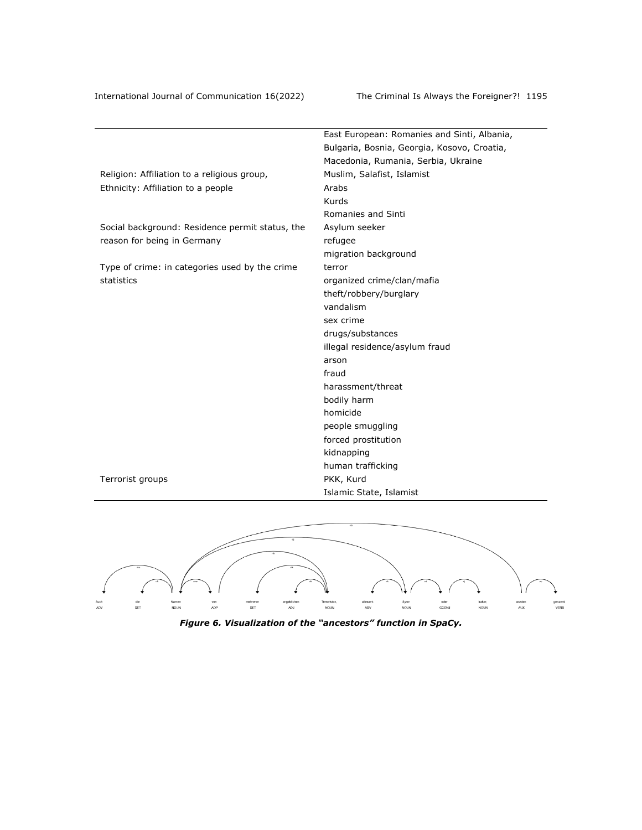| Bulgaria, Bosnia, Georgia, Kosovo, Croatia,<br>Macedonia, Rumania, Serbia, Ukraine<br>Religion: Affiliation to a religious group,<br>Muslim, Salafist, Islamist<br>Ethnicity: Affiliation to a people<br>Arabs<br>Kurds<br>Romanies and Sinti<br>Social background: Residence permit status, the<br>Asylum seeker<br>reason for being in Germany<br>refugee<br>migration background<br>Type of crime: in categories used by the crime<br>terror<br>statistics<br>organized crime/clan/mafia<br>theft/robbery/burglary<br>vandalism<br>sex crime<br>drugs/substances<br>illegal residence/asylum fraud<br>arson<br>fraud<br>harassment/threat<br>bodily harm<br>homicide<br>people smuggling<br>forced prostitution<br>kidnapping<br>human trafficking<br>PKK, Kurd<br>Terrorist groups | East European: Romanies and Sinti, Albania, |
|----------------------------------------------------------------------------------------------------------------------------------------------------------------------------------------------------------------------------------------------------------------------------------------------------------------------------------------------------------------------------------------------------------------------------------------------------------------------------------------------------------------------------------------------------------------------------------------------------------------------------------------------------------------------------------------------------------------------------------------------------------------------------------------|---------------------------------------------|
|                                                                                                                                                                                                                                                                                                                                                                                                                                                                                                                                                                                                                                                                                                                                                                                        |                                             |
|                                                                                                                                                                                                                                                                                                                                                                                                                                                                                                                                                                                                                                                                                                                                                                                        |                                             |
|                                                                                                                                                                                                                                                                                                                                                                                                                                                                                                                                                                                                                                                                                                                                                                                        |                                             |
|                                                                                                                                                                                                                                                                                                                                                                                                                                                                                                                                                                                                                                                                                                                                                                                        |                                             |
|                                                                                                                                                                                                                                                                                                                                                                                                                                                                                                                                                                                                                                                                                                                                                                                        |                                             |
|                                                                                                                                                                                                                                                                                                                                                                                                                                                                                                                                                                                                                                                                                                                                                                                        |                                             |
|                                                                                                                                                                                                                                                                                                                                                                                                                                                                                                                                                                                                                                                                                                                                                                                        |                                             |
|                                                                                                                                                                                                                                                                                                                                                                                                                                                                                                                                                                                                                                                                                                                                                                                        |                                             |
|                                                                                                                                                                                                                                                                                                                                                                                                                                                                                                                                                                                                                                                                                                                                                                                        |                                             |
|                                                                                                                                                                                                                                                                                                                                                                                                                                                                                                                                                                                                                                                                                                                                                                                        |                                             |
|                                                                                                                                                                                                                                                                                                                                                                                                                                                                                                                                                                                                                                                                                                                                                                                        |                                             |
|                                                                                                                                                                                                                                                                                                                                                                                                                                                                                                                                                                                                                                                                                                                                                                                        |                                             |
|                                                                                                                                                                                                                                                                                                                                                                                                                                                                                                                                                                                                                                                                                                                                                                                        |                                             |
|                                                                                                                                                                                                                                                                                                                                                                                                                                                                                                                                                                                                                                                                                                                                                                                        |                                             |
|                                                                                                                                                                                                                                                                                                                                                                                                                                                                                                                                                                                                                                                                                                                                                                                        |                                             |
|                                                                                                                                                                                                                                                                                                                                                                                                                                                                                                                                                                                                                                                                                                                                                                                        |                                             |
|                                                                                                                                                                                                                                                                                                                                                                                                                                                                                                                                                                                                                                                                                                                                                                                        |                                             |
|                                                                                                                                                                                                                                                                                                                                                                                                                                                                                                                                                                                                                                                                                                                                                                                        |                                             |
|                                                                                                                                                                                                                                                                                                                                                                                                                                                                                                                                                                                                                                                                                                                                                                                        |                                             |
|                                                                                                                                                                                                                                                                                                                                                                                                                                                                                                                                                                                                                                                                                                                                                                                        |                                             |
|                                                                                                                                                                                                                                                                                                                                                                                                                                                                                                                                                                                                                                                                                                                                                                                        |                                             |
|                                                                                                                                                                                                                                                                                                                                                                                                                                                                                                                                                                                                                                                                                                                                                                                        |                                             |
|                                                                                                                                                                                                                                                                                                                                                                                                                                                                                                                                                                                                                                                                                                                                                                                        |                                             |
|                                                                                                                                                                                                                                                                                                                                                                                                                                                                                                                                                                                                                                                                                                                                                                                        |                                             |
|                                                                                                                                                                                                                                                                                                                                                                                                                                                                                                                                                                                                                                                                                                                                                                                        |                                             |
|                                                                                                                                                                                                                                                                                                                                                                                                                                                                                                                                                                                                                                                                                                                                                                                        |                                             |
|                                                                                                                                                                                                                                                                                                                                                                                                                                                                                                                                                                                                                                                                                                                                                                                        |                                             |
|                                                                                                                                                                                                                                                                                                                                                                                                                                                                                                                                                                                                                                                                                                                                                                                        | Islamic State, Islamist                     |



*Figure 6. Visualization of the "ancestors" function in SpaCy.*